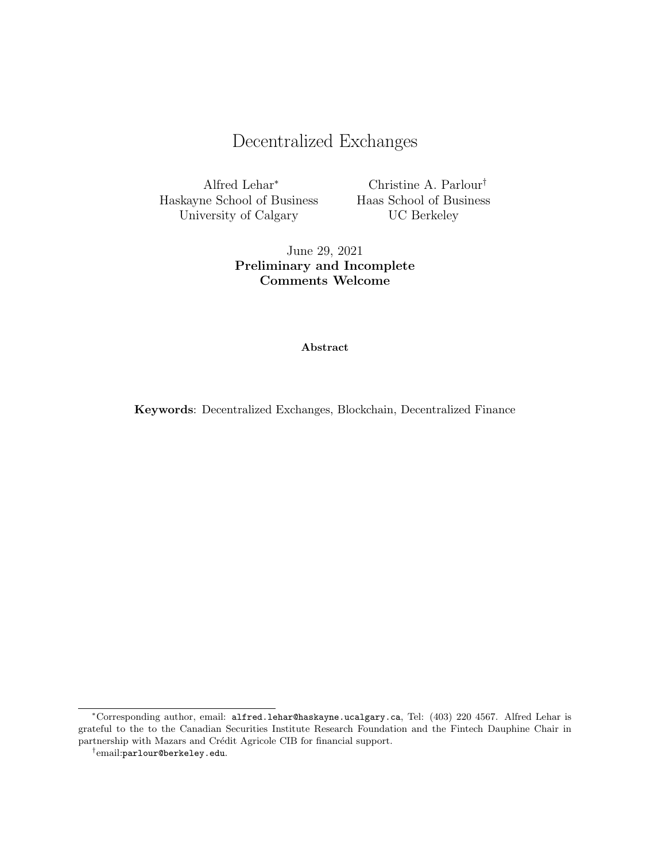# Decentralized Exchanges

Alfred Lehar<sup>∗</sup> Haskayne School of Business University of Calgary

Christine A. Parlour† Haas School of Business UC Berkeley

June 29, 2021 Preliminary and Incomplete Comments Welcome

#### Abstract

Keywords: Decentralized Exchanges, Blockchain, Decentralized Finance

<sup>∗</sup>Corresponding author, email: alfred.lehar@haskayne.ucalgary.ca, Tel: (403) 220 4567. Alfred Lehar is grateful to the to the Canadian Securities Institute Research Foundation and the Fintech Dauphine Chair in partnership with Mazars and Crédit Agricole CIB for financial support.

<sup>†</sup> email:parlour@berkeley.edu.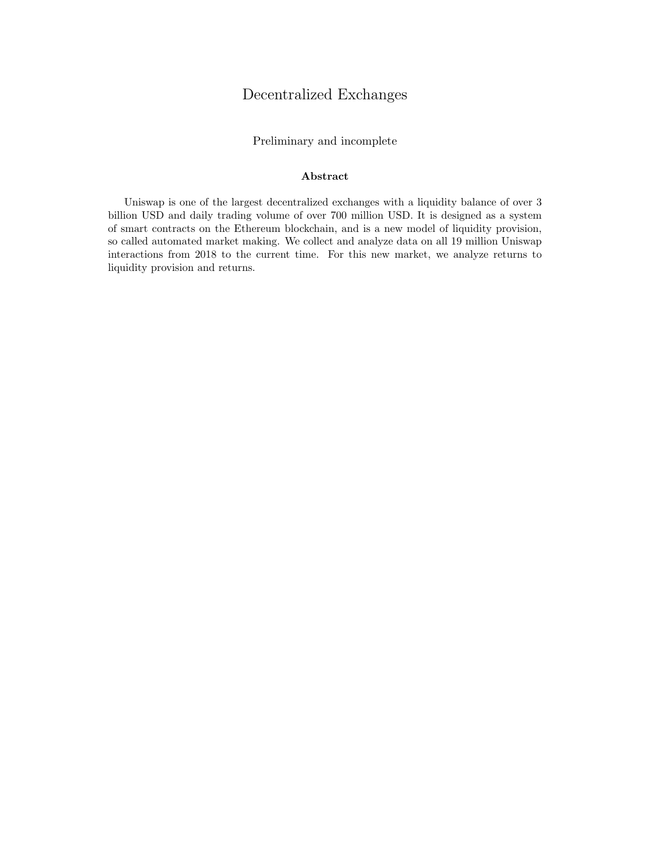## Decentralized Exchanges

Preliminary and incomplete

#### Abstract

Uniswap is one of the largest decentralized exchanges with a liquidity balance of over 3 billion USD and daily trading volume of over 700 million USD. It is designed as a system of smart contracts on the Ethereum blockchain, and is a new model of liquidity provision, so called automated market making. We collect and analyze data on all 19 million Uniswap interactions from 2018 to the current time. For this new market, we analyze returns to liquidity provision and returns.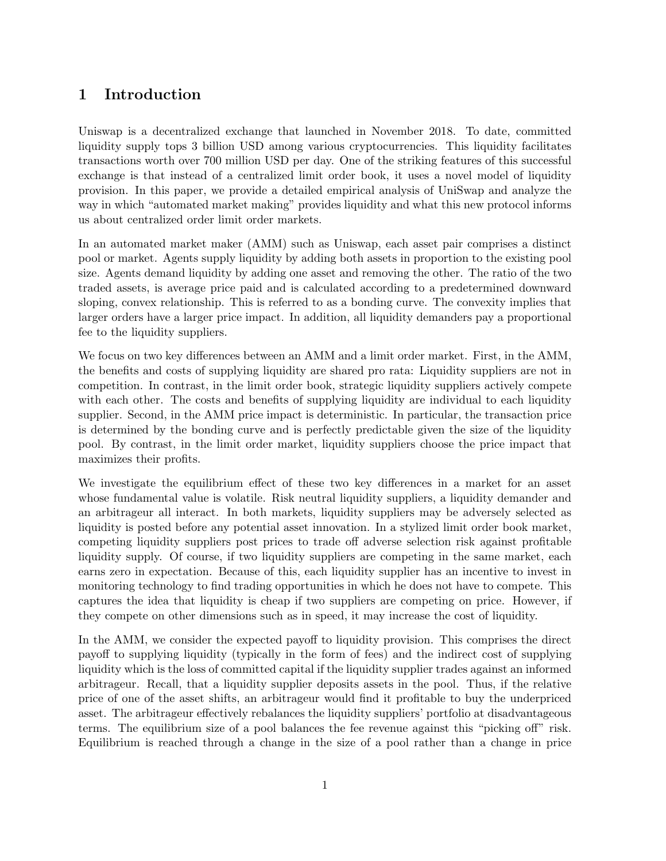## 1 Introduction

Uniswap is a decentralized exchange that launched in November 2018. To date, committed liquidity supply tops 3 billion USD among various cryptocurrencies. This liquidity facilitates transactions worth over 700 million USD per day. One of the striking features of this successful exchange is that instead of a centralized limit order book, it uses a novel model of liquidity provision. In this paper, we provide a detailed empirical analysis of UniSwap and analyze the way in which "automated market making" provides liquidity and what this new protocol informs us about centralized order limit order markets.

In an automated market maker (AMM) such as Uniswap, each asset pair comprises a distinct pool or market. Agents supply liquidity by adding both assets in proportion to the existing pool size. Agents demand liquidity by adding one asset and removing the other. The ratio of the two traded assets, is average price paid and is calculated according to a predetermined downward sloping, convex relationship. This is referred to as a bonding curve. The convexity implies that larger orders have a larger price impact. In addition, all liquidity demanders pay a proportional fee to the liquidity suppliers.

We focus on two key differences between an AMM and a limit order market. First, in the AMM, the benefits and costs of supplying liquidity are shared pro rata: Liquidity suppliers are not in competition. In contrast, in the limit order book, strategic liquidity suppliers actively compete with each other. The costs and benefits of supplying liquidity are individual to each liquidity supplier. Second, in the AMM price impact is deterministic. In particular, the transaction price is determined by the bonding curve and is perfectly predictable given the size of the liquidity pool. By contrast, in the limit order market, liquidity suppliers choose the price impact that maximizes their profits.

We investigate the equilibrium effect of these two key differences in a market for an asset whose fundamental value is volatile. Risk neutral liquidity suppliers, a liquidity demander and an arbitrageur all interact. In both markets, liquidity suppliers may be adversely selected as liquidity is posted before any potential asset innovation. In a stylized limit order book market, competing liquidity suppliers post prices to trade off adverse selection risk against profitable liquidity supply. Of course, if two liquidity suppliers are competing in the same market, each earns zero in expectation. Because of this, each liquidity supplier has an incentive to invest in monitoring technology to find trading opportunities in which he does not have to compete. This captures the idea that liquidity is cheap if two suppliers are competing on price. However, if they compete on other dimensions such as in speed, it may increase the cost of liquidity.

In the AMM, we consider the expected payoff to liquidity provision. This comprises the direct payoff to supplying liquidity (typically in the form of fees) and the indirect cost of supplying liquidity which is the loss of committed capital if the liquidity supplier trades against an informed arbitrageur. Recall, that a liquidity supplier deposits assets in the pool. Thus, if the relative price of one of the asset shifts, an arbitrageur would find it profitable to buy the underpriced asset. The arbitrageur effectively rebalances the liquidity suppliers' portfolio at disadvantageous terms. The equilibrium size of a pool balances the fee revenue against this "picking off" risk. Equilibrium is reached through a change in the size of a pool rather than a change in price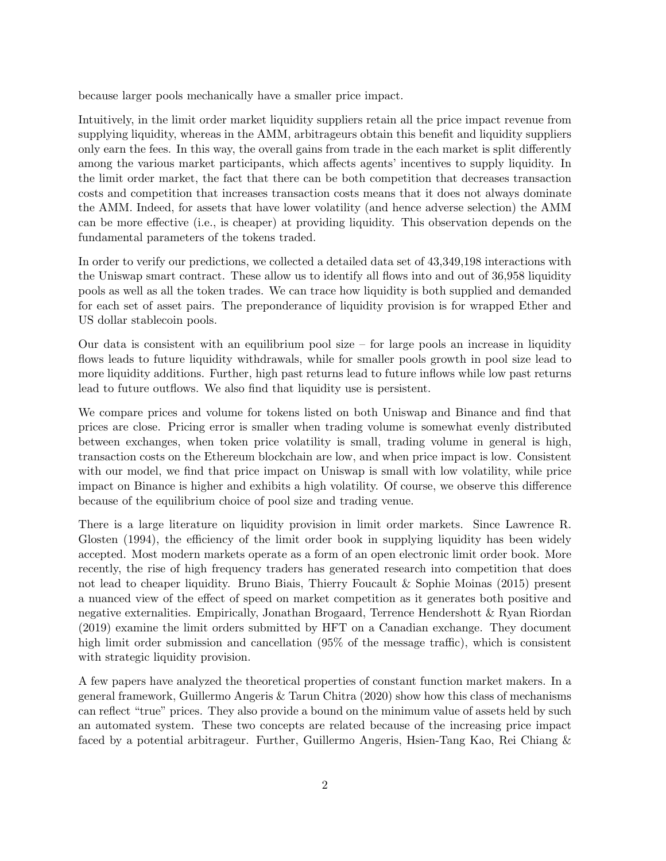because larger pools mechanically have a smaller price impact.

Intuitively, in the limit order market liquidity suppliers retain all the price impact revenue from supplying liquidity, whereas in the AMM, arbitrageurs obtain this benefit and liquidity suppliers only earn the fees. In this way, the overall gains from trade in the each market is split differently among the various market participants, which affects agents' incentives to supply liquidity. In the limit order market, the fact that there can be both competition that decreases transaction costs and competition that increases transaction costs means that it does not always dominate the AMM. Indeed, for assets that have lower volatility (and hence adverse selection) the AMM can be more effective (i.e., is cheaper) at providing liquidity. This observation depends on the fundamental parameters of the tokens traded.

In order to verify our predictions, we collected a detailed data set of 43,349,198 interactions with the Uniswap smart contract. These allow us to identify all flows into and out of 36,958 liquidity pools as well as all the token trades. We can trace how liquidity is both supplied and demanded for each set of asset pairs. The preponderance of liquidity provision is for wrapped Ether and US dollar stablecoin pools.

Our data is consistent with an equilibrium pool size – for large pools an increase in liquidity flows leads to future liquidity withdrawals, while for smaller pools growth in pool size lead to more liquidity additions. Further, high past returns lead to future inflows while low past returns lead to future outflows. We also find that liquidity use is persistent.

We compare prices and volume for tokens listed on both Uniswap and Binance and find that prices are close. Pricing error is smaller when trading volume is somewhat evenly distributed between exchanges, when token price volatility is small, trading volume in general is high, transaction costs on the Ethereum blockchain are low, and when price impact is low. Consistent with our model, we find that price impact on Uniswap is small with low volatility, while price impact on Binance is higher and exhibits a high volatility. Of course, we observe this difference because of the equilibrium choice of pool size and trading venue.

There is a large literature on liquidity provision in limit order markets. Since Lawrence R. Glosten (1994), the efficiency of the limit order book in supplying liquidity has been widely accepted. Most modern markets operate as a form of an open electronic limit order book. More recently, the rise of high frequency traders has generated research into competition that does not lead to cheaper liquidity. Bruno Biais, Thierry Foucault & Sophie Moinas (2015) present a nuanced view of the effect of speed on market competition as it generates both positive and negative externalities. Empirically, Jonathan Brogaard, Terrence Hendershott & Ryan Riordan (2019) examine the limit orders submitted by HFT on a Canadian exchange. They document high limit order submission and cancellation  $(95\%$  of the message traffic), which is consistent with strategic liquidity provision.

A few papers have analyzed the theoretical properties of constant function market makers. In a general framework, Guillermo Angeris & Tarun Chitra (2020) show how this class of mechanisms can reflect "true" prices. They also provide a bound on the minimum value of assets held by such an automated system. These two concepts are related because of the increasing price impact faced by a potential arbitrageur. Further, Guillermo Angeris, Hsien-Tang Kao, Rei Chiang &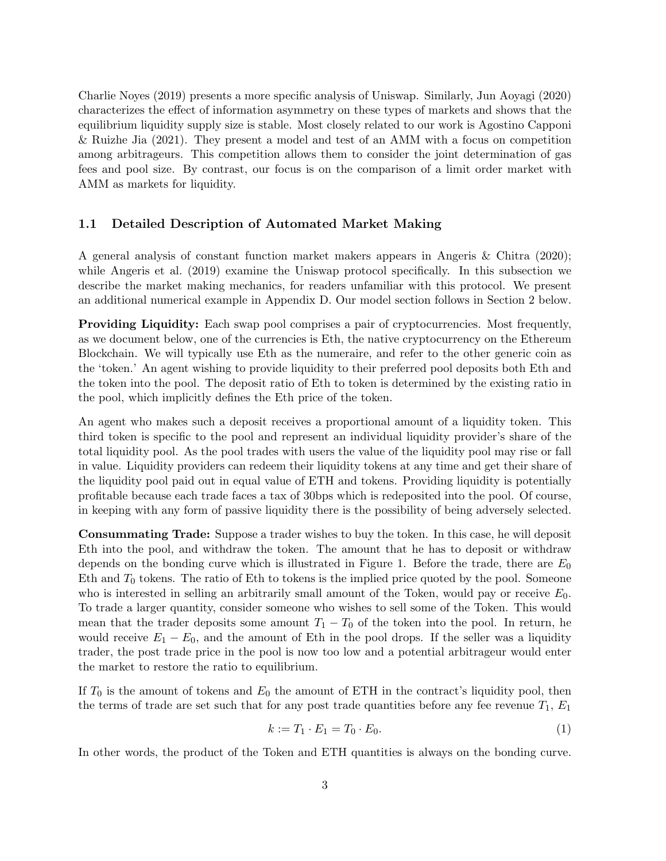Charlie Noyes (2019) presents a more specific analysis of Uniswap. Similarly, Jun Aoyagi (2020) characterizes the effect of information asymmetry on these types of markets and shows that the equilibrium liquidity supply size is stable. Most closely related to our work is Agostino Capponi & Ruizhe Jia (2021). They present a model and test of an AMM with a focus on competition among arbitrageurs. This competition allows them to consider the joint determination of gas fees and pool size. By contrast, our focus is on the comparison of a limit order market with AMM as markets for liquidity.

### 1.1 Detailed Description of Automated Market Making

A general analysis of constant function market makers appears in Angeris & Chitra (2020); while Angeris et al. (2019) examine the Uniswap protocol specifically. In this subsection we describe the market making mechanics, for readers unfamiliar with this protocol. We present an additional numerical example in Appendix D. Our model section follows in Section 2 below.

Providing Liquidity: Each swap pool comprises a pair of cryptocurrencies. Most frequently, as we document below, one of the currencies is Eth, the native cryptocurrency on the Ethereum Blockchain. We will typically use Eth as the numeraire, and refer to the other generic coin as the 'token.' An agent wishing to provide liquidity to their preferred pool deposits both Eth and the token into the pool. The deposit ratio of Eth to token is determined by the existing ratio in the pool, which implicitly defines the Eth price of the token.

An agent who makes such a deposit receives a proportional amount of a liquidity token. This third token is specific to the pool and represent an individual liquidity provider's share of the total liquidity pool. As the pool trades with users the value of the liquidity pool may rise or fall in value. Liquidity providers can redeem their liquidity tokens at any time and get their share of the liquidity pool paid out in equal value of ETH and tokens. Providing liquidity is potentially profitable because each trade faces a tax of 30bps which is redeposited into the pool. Of course, in keeping with any form of passive liquidity there is the possibility of being adversely selected.

Consummating Trade: Suppose a trader wishes to buy the token. In this case, he will deposit Eth into the pool, and withdraw the token. The amount that he has to deposit or withdraw depends on the bonding curve which is illustrated in Figure 1. Before the trade, there are  $E_0$ Eth and  $T_0$  tokens. The ratio of Eth to tokens is the implied price quoted by the pool. Someone who is interested in selling an arbitrarily small amount of the Token, would pay or receive  $E_0$ . To trade a larger quantity, consider someone who wishes to sell some of the Token. This would mean that the trader deposits some amount  $T_1 - T_0$  of the token into the pool. In return, he would receive  $E_1 - E_0$ , and the amount of Eth in the pool drops. If the seller was a liquidity trader, the post trade price in the pool is now too low and a potential arbitrageur would enter the market to restore the ratio to equilibrium.

If  $T_0$  is the amount of tokens and  $E_0$  the amount of ETH in the contract's liquidity pool, then the terms of trade are set such that for any post trade quantities before any fee revenue  $T_1$ ,  $E_1$ 

$$
k := T_1 \cdot E_1 = T_0 \cdot E_0. \tag{1}
$$

In other words, the product of the Token and ETH quantities is always on the bonding curve.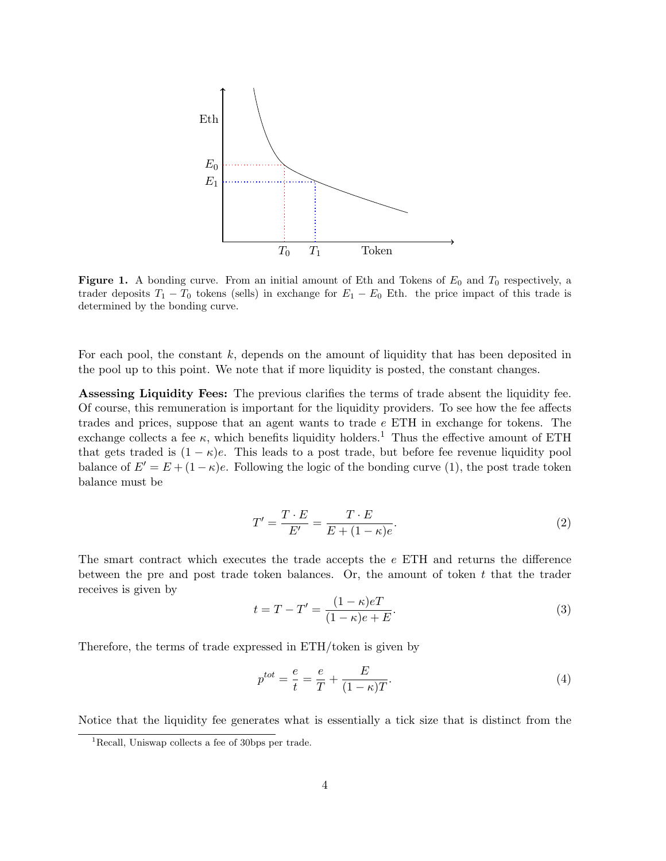

**Figure 1.** A bonding curve. From an initial amount of Eth and Tokens of  $E_0$  and  $T_0$  respectively, a trader deposits  $T_1 - T_0$  tokens (sells) in exchange for  $E_1 - E_0$  Eth. the price impact of this trade is determined by the bonding curve.

For each pool, the constant  $k$ , depends on the amount of liquidity that has been deposited in the pool up to this point. We note that if more liquidity is posted, the constant changes.

Assessing Liquidity Fees: The previous clarifies the terms of trade absent the liquidity fee. Of course, this remuneration is important for the liquidity providers. To see how the fee affects trades and prices, suppose that an agent wants to trade e ETH in exchange for tokens. The exchange collects a fee  $\kappa$ , which benefits liquidity holders.<sup>1</sup> Thus the effective amount of ETH that gets traded is  $(1 - \kappa)e$ . This leads to a post trade, but before fee revenue liquidity pool balance of  $E' = E + (1 - \kappa)e$ . Following the logic of the bonding curve (1), the post trade token balance must be

$$
T' = \frac{T \cdot E}{E'} = \frac{T \cdot E}{E + (1 - \kappa)e}.
$$
\n
$$
(2)
$$

The smart contract which executes the trade accepts the e ETH and returns the difference between the pre and post trade token balances. Or, the amount of token  $t$  that the trader receives is given by

$$
t = T - T' = \frac{(1 - \kappa)eT}{(1 - \kappa)e + E}.
$$
\n(3)

Therefore, the terms of trade expressed in ETH/token is given by

$$
p^{tot} = \frac{e}{t} = \frac{e}{T} + \frac{E}{(1 - \kappa)T}.
$$
\n(4)

Notice that the liquidity fee generates what is essentially a tick size that is distinct from the

<sup>&</sup>lt;sup>1</sup>Recall, Uniswap collects a fee of 30bps per trade.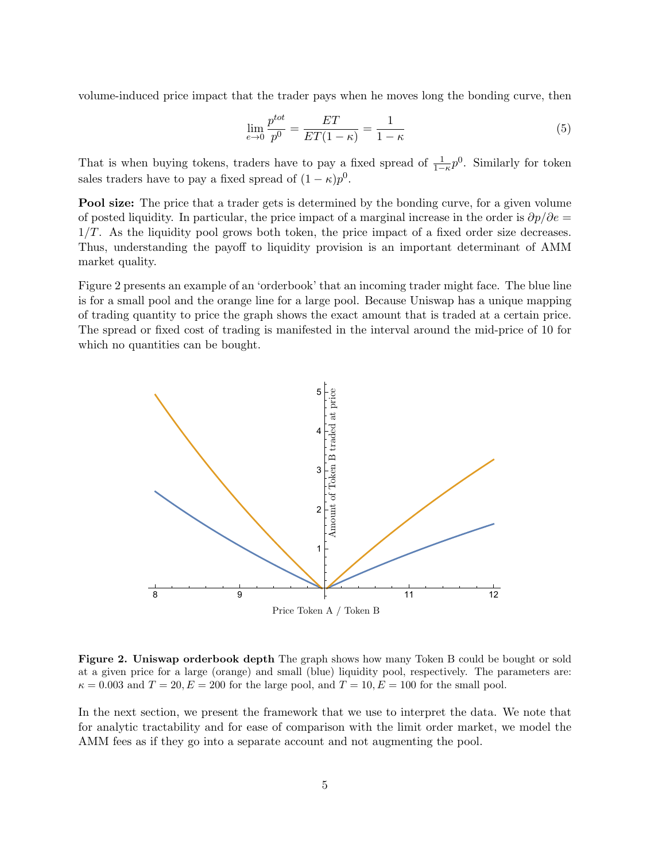volume-induced price impact that the trader pays when he moves long the bonding curve, then

$$
\lim_{\epsilon \to 0} \frac{p^{tot}}{p^0} = \frac{ET}{ET(1 - \kappa)} = \frac{1}{1 - \kappa} \tag{5}
$$

That is when buying tokens, traders have to pay a fixed spread of  $\frac{1}{1-\kappa}p^0$ . Similarly for token sales traders have to pay a fixed spread of  $(1 - \kappa)p^0$ .

Pool size: The price that a trader gets is determined by the bonding curve, for a given volume of posted liquidity. In particular, the price impact of a marginal increase in the order is  $\partial p/\partial e =$  $1/T$ . As the liquidity pool grows both token, the price impact of a fixed order size decreases. Thus, understanding the payoff to liquidity provision is an important determinant of AMM market quality.

Figure 2 presents an example of an 'orderbook' that an incoming trader might face. The blue line is for a small pool and the orange line for a large pool. Because Uniswap has a unique mapping of trading quantity to price the graph shows the exact amount that is traded at a certain price. The spread or fixed cost of trading is manifested in the interval around the mid-price of 10 for which no quantities can be bought.



Figure 2. Uniswap orderbook depth The graph shows how many Token B could be bought or sold at a given price for a large (orange) and small (blue) liquidity pool, respectively. The parameters are:  $\kappa = 0.003$  and  $T = 20, E = 200$  for the large pool, and  $T = 10, E = 100$  for the small pool.

In the next section, we present the framework that we use to interpret the data. We note that for analytic tractability and for ease of comparison with the limit order market, we model the AMM fees as if they go into a separate account and not augmenting the pool.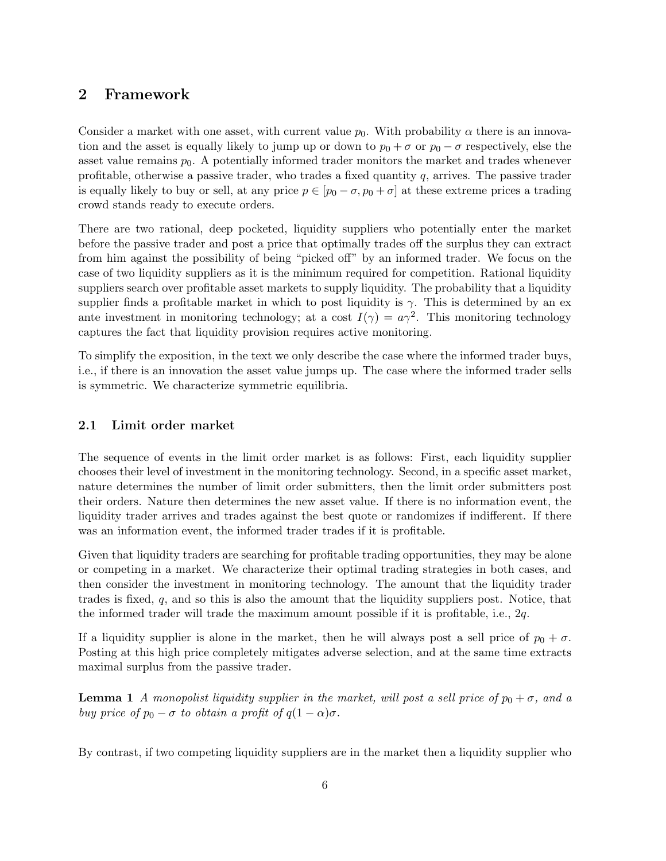## 2 Framework

Consider a market with one asset, with current value  $p_0$ . With probability  $\alpha$  there is an innovation and the asset is equally likely to jump up or down to  $p_0 + \sigma$  or  $p_0 - \sigma$  respectively, else the asset value remains  $p_0$ . A potentially informed trader monitors the market and trades whenever profitable, otherwise a passive trader, who trades a fixed quantity  $q$ , arrives. The passive trader is equally likely to buy or sell, at any price  $p \in [p_0 - \sigma, p_0 + \sigma]$  at these extreme prices a trading crowd stands ready to execute orders.

There are two rational, deep pocketed, liquidity suppliers who potentially enter the market before the passive trader and post a price that optimally trades off the surplus they can extract from him against the possibility of being "picked off" by an informed trader. We focus on the case of two liquidity suppliers as it is the minimum required for competition. Rational liquidity suppliers search over profitable asset markets to supply liquidity. The probability that a liquidity supplier finds a profitable market in which to post liquidity is  $\gamma$ . This is determined by an exante investment in monitoring technology; at a cost  $I(\gamma) = a\gamma^2$ . This monitoring technology captures the fact that liquidity provision requires active monitoring.

To simplify the exposition, in the text we only describe the case where the informed trader buys, i.e., if there is an innovation the asset value jumps up. The case where the informed trader sells is symmetric. We characterize symmetric equilibria.

### 2.1 Limit order market

The sequence of events in the limit order market is as follows: First, each liquidity supplier chooses their level of investment in the monitoring technology. Second, in a specific asset market, nature determines the number of limit order submitters, then the limit order submitters post their orders. Nature then determines the new asset value. If there is no information event, the liquidity trader arrives and trades against the best quote or randomizes if indifferent. If there was an information event, the informed trader trades if it is profitable.

Given that liquidity traders are searching for profitable trading opportunities, they may be alone or competing in a market. We characterize their optimal trading strategies in both cases, and then consider the investment in monitoring technology. The amount that the liquidity trader trades is fixed, q, and so this is also the amount that the liquidity suppliers post. Notice, that the informed trader will trade the maximum amount possible if it is profitable, i.e., 2q.

If a liquidity supplier is alone in the market, then he will always post a sell price of  $p_0 + \sigma$ . Posting at this high price completely mitigates adverse selection, and at the same time extracts maximal surplus from the passive trader.

**Lemma 1** A monopolist liquidity supplier in the market, will post a sell price of  $p_0 + \sigma$ , and a buy price of  $p_0 - \sigma$  to obtain a profit of  $q(1 - \alpha)\sigma$ .

By contrast, if two competing liquidity suppliers are in the market then a liquidity supplier who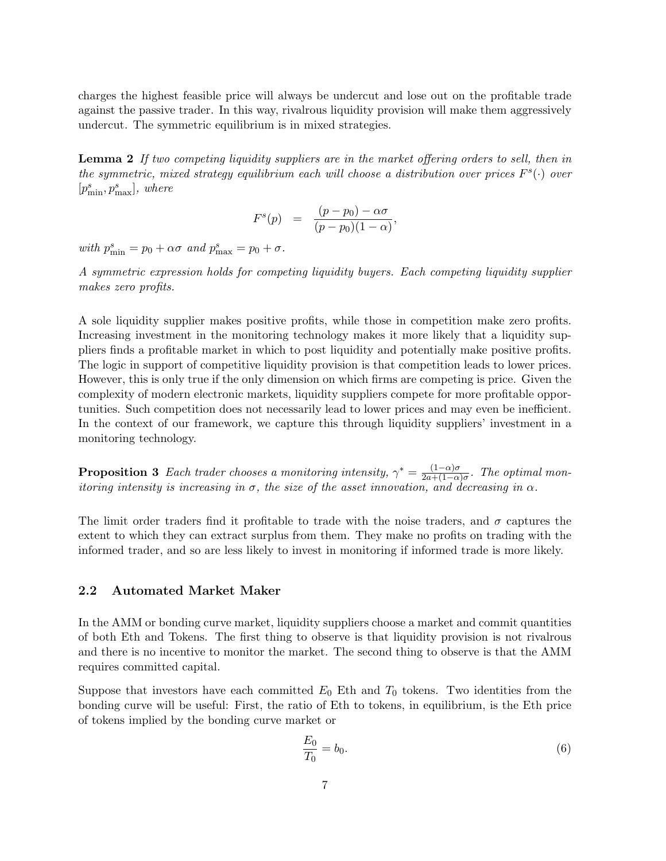charges the highest feasible price will always be undercut and lose out on the profitable trade against the passive trader. In this way, rivalrous liquidity provision will make them aggressively undercut. The symmetric equilibrium is in mixed strategies.

**Lemma 2** If two competing liquidity suppliers are in the market offering orders to sell, then in the symmetric, mixed strategy equilibrium each will choose a distribution over prices  $F<sup>s</sup>(.)$  over  $[p^s_{\min}, p^s_{\max}]$ , where

$$
F^{s}(p) = \frac{(p-p_0) - \alpha \sigma}{(p-p_0)(1-\alpha)},
$$

with  $p_{\min}^s = p_0 + \alpha \sigma$  and  $p_{\max}^s = p_0 + \sigma$ .

A symmetric expression holds for competing liquidity buyers. Each competing liquidity supplier makes zero profits.

A sole liquidity supplier makes positive profits, while those in competition make zero profits. Increasing investment in the monitoring technology makes it more likely that a liquidity suppliers finds a profitable market in which to post liquidity and potentially make positive profits. The logic in support of competitive liquidity provision is that competition leads to lower prices. However, this is only true if the only dimension on which firms are competing is price. Given the complexity of modern electronic markets, liquidity suppliers compete for more profitable opportunities. Such competition does not necessarily lead to lower prices and may even be inefficient. In the context of our framework, we capture this through liquidity suppliers' investment in a monitoring technology.

**Proposition 3** Each trader chooses a monitoring intensity,  $\gamma^* = \frac{(1-\alpha)\sigma}{2a+(1-\alpha)}$  $\frac{(1-\alpha)\sigma}{2a+(1-\alpha)\sigma}$ . The optimal monitoring intensity is increasing in  $\sigma$ , the size of the asset innovation, and decreasing in  $\alpha$ .

The limit order traders find it profitable to trade with the noise traders, and  $\sigma$  captures the extent to which they can extract surplus from them. They make no profits on trading with the informed trader, and so are less likely to invest in monitoring if informed trade is more likely.

#### 2.2 Automated Market Maker

In the AMM or bonding curve market, liquidity suppliers choose a market and commit quantities of both Eth and Tokens. The first thing to observe is that liquidity provision is not rivalrous and there is no incentive to monitor the market. The second thing to observe is that the AMM requires committed capital.

Suppose that investors have each committed  $E_0$  Eth and  $T_0$  tokens. Two identities from the bonding curve will be useful: First, the ratio of Eth to tokens, in equilibrium, is the Eth price of tokens implied by the bonding curve market or

$$
\frac{E_0}{T_0} = b_0.
$$
\n(6)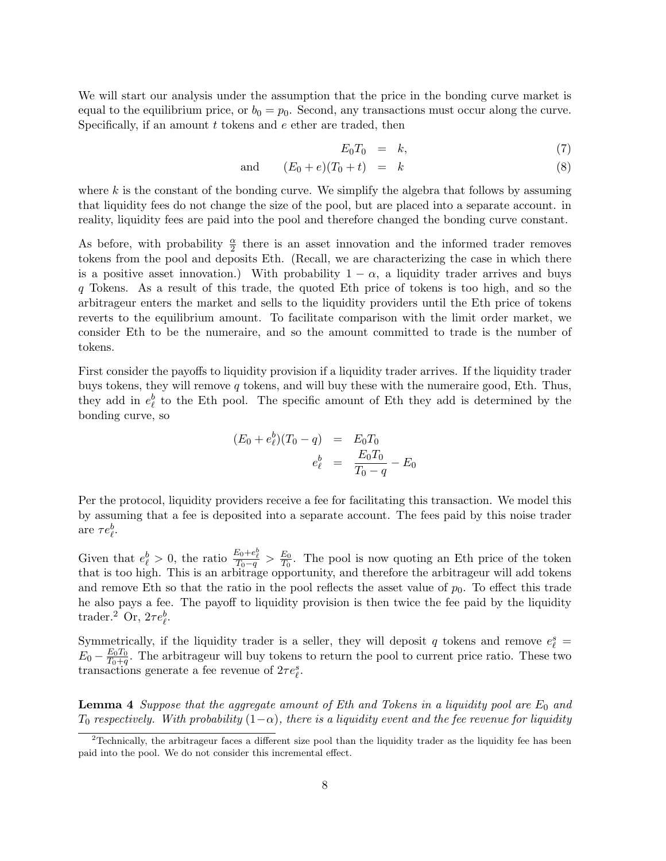We will start our analysis under the assumption that the price in the bonding curve market is equal to the equilibrium price, or  $b_0 = p_0$ . Second, any transactions must occur along the curve. Specifically, if an amount  $t$  tokens and  $e$  ether are traded, then

$$
E_0 T_0 = k, \t\t(7)
$$

$$
and \t(E_0 + e)(T_0 + t) = k \t(8)
$$

where  $k$  is the constant of the bonding curve. We simplify the algebra that follows by assuming that liquidity fees do not change the size of the pool, but are placed into a separate account. in reality, liquidity fees are paid into the pool and therefore changed the bonding curve constant.

As before, with probability  $\frac{\alpha}{2}$  there is an asset innovation and the informed trader removes tokens from the pool and deposits Eth. (Recall, we are characterizing the case in which there is a positive asset innovation.) With probability  $1 - \alpha$ , a liquidity trader arrives and buys q Tokens. As a result of this trade, the quoted Eth price of tokens is too high, and so the arbitrageur enters the market and sells to the liquidity providers until the Eth price of tokens reverts to the equilibrium amount. To facilitate comparison with the limit order market, we consider Eth to be the numeraire, and so the amount committed to trade is the number of tokens.

First consider the payoffs to liquidity provision if a liquidity trader arrives. If the liquidity trader buys tokens, they will remove  $q$  tokens, and will buy these with the numeraire good, Eth. Thus, they add in  $e_{\ell}^{b}$  to the Eth pool. The specific amount of Eth they add is determined by the bonding curve, so

$$
(E_0 + e_\ell^b)(T_0 - q) = E_0 T_0
$$
  

$$
e_\ell^b = \frac{E_0 T_0}{T_0 - q} - E_0
$$

Per the protocol, liquidity providers receive a fee for facilitating this transaction. We model this by assuming that a fee is deposited into a separate account. The fees paid by this noise trader are  $\tau e_{\ell}^b$ .

Given that  $e_{\ell}^{b} > 0$ , the ratio  $\frac{E_{0} + e_{\ell}^{b}}{T_{0} - q} > \frac{E_{0}}{T_{0}}$  $\frac{E_0}{T_0}$ . The pool is now quoting an Eth price of the token that is too high. This is an arbitrage opportunity, and therefore the arbitrageur will add tokens and remove Eth so that the ratio in the pool reflects the asset value of  $p_0$ . To effect this trade he also pays a fee. The payoff to liquidity provision is then twice the fee paid by the liquidity trader.<sup>2</sup> Or,  $2\tau e_{\ell}^b$ .

Symmetrically, if the liquidity trader is a seller, they will deposit q tokens and remove  $e_{\ell}^{s}$  $E_0 - \frac{E_0 T_0}{T_0 + a}$  $\frac{E_0 I_0}{T_0 + q}$ . The arbitrageur will buy tokens to return the pool to current price ratio. These two transactions generate a fee revenue of  $2\tau e_{\ell}^{s}$ .

**Lemma 4** Suppose that the aggregate amount of Eth and Tokens in a liquidity pool are  $E_0$  and  $T_0$  respectively. With probability  $(1-\alpha)$ , there is a liquidity event and the fee revenue for liquidity

<sup>&</sup>lt;sup>2</sup>Technically, the arbitrageur faces a different size pool than the liquidity trader as the liquidity fee has been paid into the pool. We do not consider this incremental effect.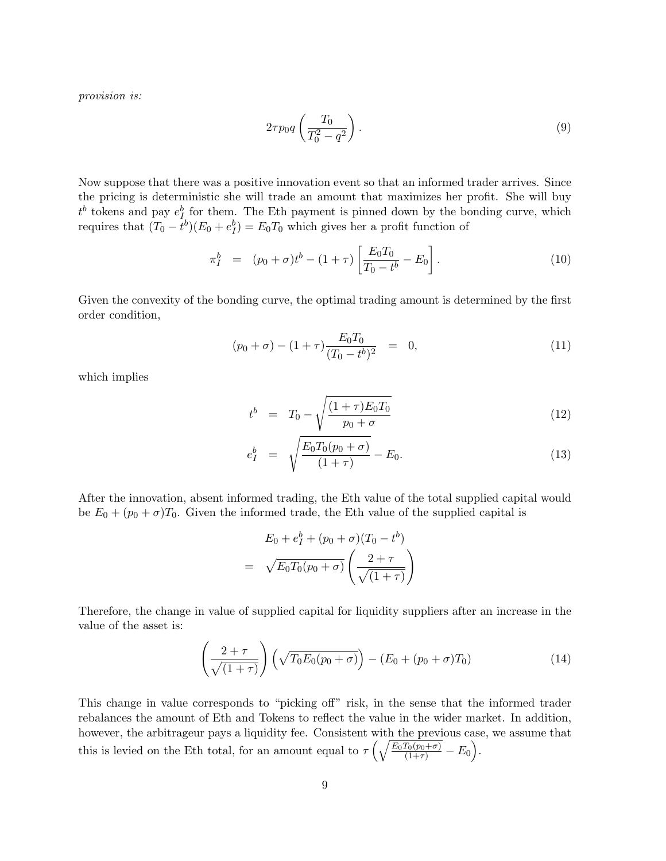provision is:

$$
2\tau p_0 q \left(\frac{T_0}{T_0^2 - q^2}\right). \tag{9}
$$

Now suppose that there was a positive innovation event so that an informed trader arrives. Since the pricing is deterministic she will trade an amount that maximizes her profit. She will buy  $t^b$  tokens and pay  $e^b_I$  for them. The Eth payment is pinned down by the bonding curve, which requires that  $(T_0 - t^b)(E_0 + e_I^b) = E_0 T_0$  which gives her a profit function of

$$
\pi_I^b = (p_0 + \sigma)t^b - (1 + \tau) \left[ \frac{E_0 T_0}{T_0 - t^b} - E_0 \right]. \tag{10}
$$

Given the convexity of the bonding curve, the optimal trading amount is determined by the first order condition,

$$
(p_0 + \sigma) - (1 + \tau) \frac{E_0 T_0}{(T_0 - t^b)^2} = 0,
$$
\n(11)

which implies

$$
t^{b} = T_{0} - \sqrt{\frac{(1+\tau)E_{0}T_{0}}{p_{0}+\sigma}}
$$
\n(12)

$$
e_I^b = \sqrt{\frac{E_0 T_0 (p_0 + \sigma)}{(1 + \tau)}} - E_0.
$$
\n(13)

After the innovation, absent informed trading, the Eth value of the total supplied capital would be  $E_0 + (p_0 + \sigma)T_0$ . Given the informed trade, the Eth value of the supplied capital is

$$
E_0 + e_I^b + (p_0 + \sigma)(T_0 - t^b)
$$

$$
= \sqrt{E_0 T_0 (p_0 + \sigma)} \left( \frac{2 + \tau}{\sqrt{(1 + \tau)}} \right)
$$

Therefore, the change in value of supplied capital for liquidity suppliers after an increase in the value of the asset is:

$$
\left(\frac{2+\tau}{\sqrt{(1+\tau)}}\right)\left(\sqrt{T_0E_0(p_0+\sigma)}\right) - \left(E_0+(p_0+\sigma)T_0\right) \tag{14}
$$

This change in value corresponds to "picking off" risk, in the sense that the informed trader rebalances the amount of Eth and Tokens to reflect the value in the wider market. In addition, however, the arbitrageur pays a liquidity fee. Consistent with the previous case, we assume that this is levied on the Eth total, for an amount equal to  $\tau \left( \sqrt{\frac{E_0 T_0(p_0 + \sigma)}{(1 + \tau)}} - E_0 \right)$ .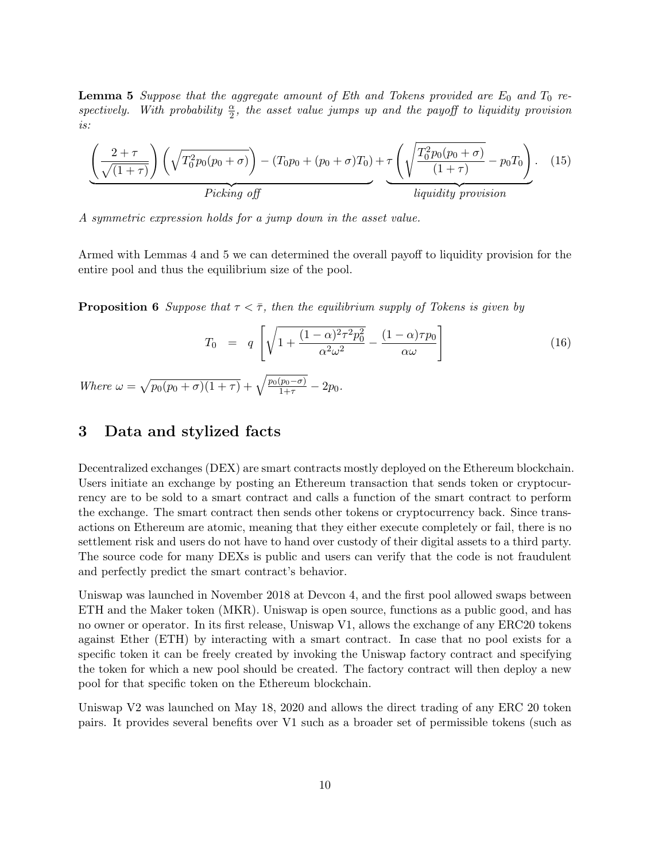**Lemma 5** Suppose that the aggregate amount of Eth and Tokens provided are  $E_0$  and  $T_0$  respectively. With probability  $\frac{\alpha}{2}$ , the asset value jumps up and the payoff to liquidity provision is:

$$
\underbrace{\left(\frac{2+\tau}{\sqrt{(1+\tau)}}\right)\left(\sqrt{T_0^2p_0(p_0+\sigma)}\right)-(T_0p_0+(p_0+\sigma)T_0)+\tau\left(\sqrt{\frac{T_0^2p_0(p_0+\sigma)}{(1+\tau)}}-p_0T_0\right)}_{liquidity\,provision}.
$$
 (15)

A symmetric expression holds for a jump down in the asset value.

Armed with Lemmas 4 and 5 we can determined the overall payoff to liquidity provision for the entire pool and thus the equilibrium size of the pool.

**Proposition 6** Suppose that  $\tau < \overline{\tau}$ , then the equilibrium supply of Tokens is given by

$$
T_0 = q \left[ \sqrt{1 + \frac{(1 - \alpha)^2 \tau^2 p_0^2}{\alpha^2 \omega^2}} - \frac{(1 - \alpha)\tau p_0}{\alpha \omega} \right]
$$
(16)

Where  $\omega = \sqrt{p_0(p_0 + \sigma)(1 + \tau)} + \sqrt{\frac{p_0(p_0 - \sigma)}{1 + \tau}} - 2p_0$ .

### 3 Data and stylized facts

Decentralized exchanges (DEX) are smart contracts mostly deployed on the Ethereum blockchain. Users initiate an exchange by posting an Ethereum transaction that sends token or cryptocurrency are to be sold to a smart contract and calls a function of the smart contract to perform the exchange. The smart contract then sends other tokens or cryptocurrency back. Since transactions on Ethereum are atomic, meaning that they either execute completely or fail, there is no settlement risk and users do not have to hand over custody of their digital assets to a third party. The source code for many DEXs is public and users can verify that the code is not fraudulent and perfectly predict the smart contract's behavior.

Uniswap was launched in November 2018 at Devcon 4, and the first pool allowed swaps between ETH and the Maker token (MKR). Uniswap is open source, functions as a public good, and has no owner or operator. In its first release, Uniswap V1, allows the exchange of any ERC20 tokens against Ether (ETH) by interacting with a smart contract. In case that no pool exists for a specific token it can be freely created by invoking the Uniswap factory contract and specifying the token for which a new pool should be created. The factory contract will then deploy a new pool for that specific token on the Ethereum blockchain.

Uniswap V2 was launched on May 18, 2020 and allows the direct trading of any ERC 20 token pairs. It provides several benefits over V1 such as a broader set of permissible tokens (such as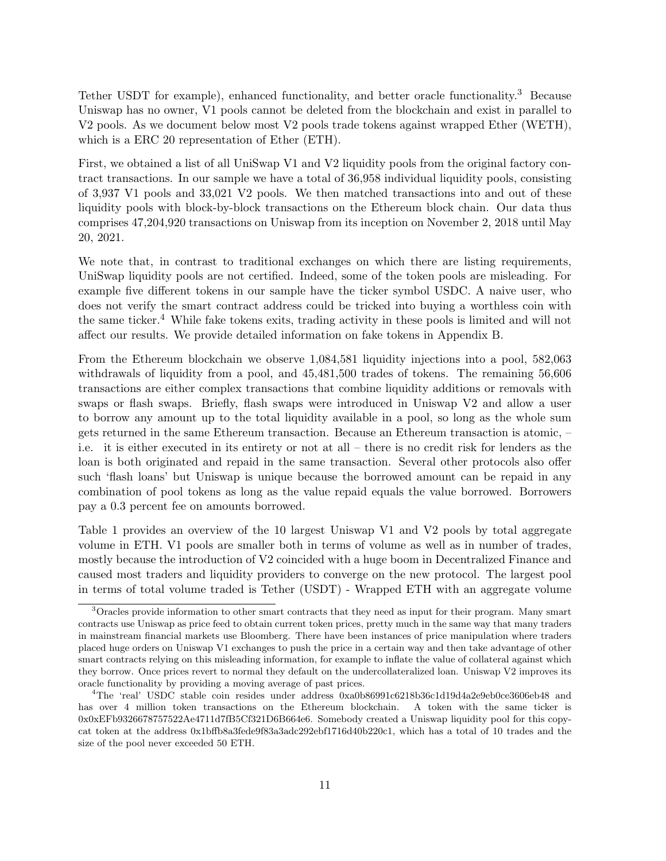Tether USDT for example), enhanced functionality, and better oracle functionality.<sup>3</sup> Because Uniswap has no owner, V1 pools cannot be deleted from the blockchain and exist in parallel to V2 pools. As we document below most V2 pools trade tokens against wrapped Ether (WETH), which is a ERC 20 representation of Ether (ETH).

First, we obtained a list of all UniSwap V1 and V2 liquidity pools from the original factory contract transactions. In our sample we have a total of 36,958 individual liquidity pools, consisting of 3,937 V1 pools and 33,021 V2 pools. We then matched transactions into and out of these liquidity pools with block-by-block transactions on the Ethereum block chain. Our data thus comprises 47,204,920 transactions on Uniswap from its inception on November 2, 2018 until May 20, 2021.

We note that, in contrast to traditional exchanges on which there are listing requirements, UniSwap liquidity pools are not certified. Indeed, some of the token pools are misleading. For example five different tokens in our sample have the ticker symbol USDC. A naive user, who does not verify the smart contract address could be tricked into buying a worthless coin with the same ticker.<sup>4</sup> While fake tokens exits, trading activity in these pools is limited and will not affect our results. We provide detailed information on fake tokens in Appendix B.

From the Ethereum blockchain we observe 1,084,581 liquidity injections into a pool, 582,063 withdrawals of liquidity from a pool, and 45,481,500 trades of tokens. The remaining 56,606 transactions are either complex transactions that combine liquidity additions or removals with swaps or flash swaps. Briefly, flash swaps were introduced in Uniswap V2 and allow a user to borrow any amount up to the total liquidity available in a pool, so long as the whole sum gets returned in the same Ethereum transaction. Because an Ethereum transaction is atomic, – i.e. it is either executed in its entirety or not at all – there is no credit risk for lenders as the loan is both originated and repaid in the same transaction. Several other protocols also offer such 'flash loans' but Uniswap is unique because the borrowed amount can be repaid in any combination of pool tokens as long as the value repaid equals the value borrowed. Borrowers pay a 0.3 percent fee on amounts borrowed.

Table 1 provides an overview of the 10 largest Uniswap V1 and V2 pools by total aggregate volume in ETH. V1 pools are smaller both in terms of volume as well as in number of trades, mostly because the introduction of V2 coincided with a huge boom in Decentralized Finance and caused most traders and liquidity providers to converge on the new protocol. The largest pool in terms of total volume traded is Tether (USDT) - Wrapped ETH with an aggregate volume

<sup>3</sup>Oracles provide information to other smart contracts that they need as input for their program. Many smart contracts use Uniswap as price feed to obtain current token prices, pretty much in the same way that many traders in mainstream financial markets use Bloomberg. There have been instances of price manipulation where traders placed huge orders on Uniswap V1 exchanges to push the price in a certain way and then take advantage of other smart contracts relying on this misleading information, for example to inflate the value of collateral against which they borrow. Once prices revert to normal they default on the undercollateralized loan. Uniswap V2 improves its oracle functionality by providing a moving average of past prices.

<sup>4</sup>The 'real' USDC stable coin resides under address 0xa0b86991c6218b36c1d19d4a2e9eb0ce3606eb48 and has over 4 million token transactions on the Ethereum blockchain. A token with the same ticker is 0x0xEFb9326678757522Ae4711d7fB5Cf321D6B664e6. Somebody created a Uniswap liquidity pool for this copycat token at the address 0x1bffb8a3fede9f83a3adc292ebf1716d40b220c1, which has a total of 10 trades and the size of the pool never exceeded 50 ETH.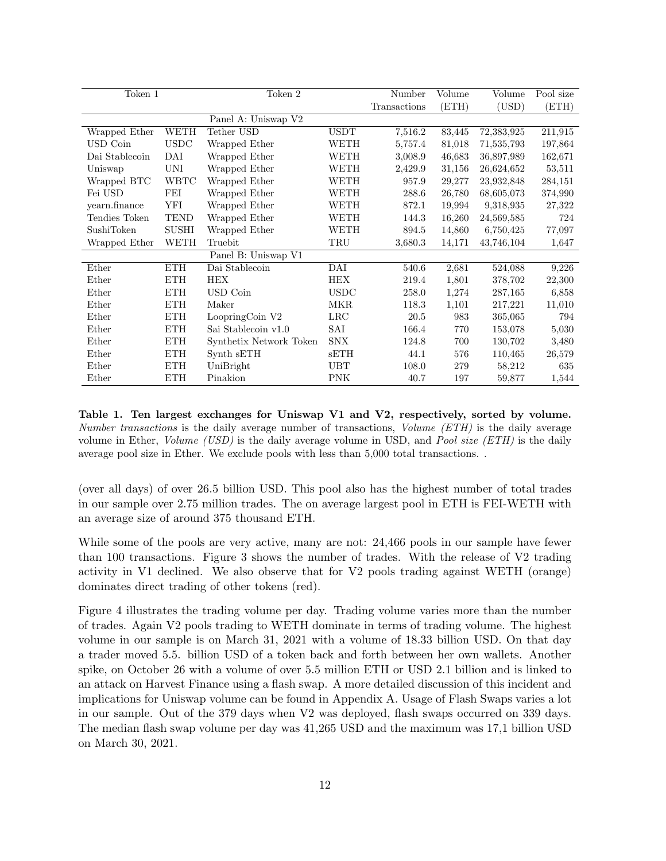| Token 1        |              | Token 2                 |             | Number       | Volume | Volume     | Pool size |
|----------------|--------------|-------------------------|-------------|--------------|--------|------------|-----------|
|                |              |                         |             | Transactions | (ETH)  | (USD)      | (ETH)     |
|                |              | Panel A: Uniswap V2     |             |              |        |            |           |
| Wrapped Ether  | <b>WETH</b>  | Tether USD              | <b>USDT</b> | 7,516.2      | 83,445 | 72,383,925 | 211,915   |
| USD Coin       | <b>USDC</b>  | Wrapped Ether           | WETH        | 5,757.4      | 81,018 | 71,535,793 | 197,864   |
| Dai Stablecoin | DAI          | Wrapped Ether           | WETH        | 3,008.9      | 46,683 | 36,897,989 | 162,671   |
| Uniswap        | UNI          | Wrapped Ether           | WETH        | 2,429.9      | 31,156 | 26,624,652 | 53,511    |
| Wrapped BTC    | <b>WBTC</b>  | Wrapped Ether           | WETH        | 957.9        | 29,277 | 23,932,848 | 284,151   |
| Fei USD        | FEI          | Wrapped Ether           | <b>WETH</b> | 288.6        | 26,780 | 68,605,073 | 374,990   |
| yearn.finance  | YFI          | Wrapped Ether           | <b>WETH</b> | 872.1        | 19,994 | 9,318,935  | 27,322    |
| Tendies Token  | <b>TEND</b>  | Wrapped Ether           | <b>WETH</b> | 144.3        | 16,260 | 24,569,585 | 724       |
| SushiToken     | <b>SUSHI</b> | Wrapped Ether           | <b>WETH</b> | 894.5        | 14,860 | 6,750,425  | 77,097    |
| Wrapped Ether  | WETH         | Truebit                 | TRU         | 3,680.3      | 14,171 | 43,746,104 | 1,647     |
|                |              | Panel B: Uniswap V1     |             |              |        |            |           |
| Ether          | <b>ETH</b>   | Dai Stablecoin          | DAI         | 540.6        | 2,681  | 524,088    | 9,226     |
| Ether          | <b>ETH</b>   | <b>HEX</b>              | <b>HEX</b>  | 219.4        | 1,801  | 378,702    | 22,300    |
| Ether          | <b>ETH</b>   | USD Coin                | <b>USDC</b> | 258.0        | 1,274  | 287,165    | 6,858     |
| Ether          | <b>ETH</b>   | Maker                   | <b>MKR</b>  | 118.3        | 1,101  | 217,221    | 11,010    |
| Ether          | <b>ETH</b>   | LoopringCoin V2         | LRC         | 20.5         | 983    | 365,065    | 794       |
| Ether          | <b>ETH</b>   | Sai Stablecoin v1.0     | SAI         | 166.4        | 770    | 153,078    | 5,030     |
| Ether          | <b>ETH</b>   | Synthetix Network Token | <b>SNX</b>  | 124.8        | 700    | 130,702    | 3,480     |
| Ether          | <b>ETH</b>   | Synth sETH              | sETH        | 44.1         | 576    | 110,465    | 26,579    |
| Ether          | <b>ETH</b>   | UniBright               | <b>UBT</b>  | 108.0        | 279    | 58,212     | 635       |
| Ether          | <b>ETH</b>   | Pinakion                | <b>PNK</b>  | 40.7         | 197    | 59,877     | 1,544     |

Table 1. Ten largest exchanges for Uniswap V1 and V2, respectively, sorted by volume. Number transactions is the daily average number of transactions, *Volume (ETH)* is the daily average volume in Ether, *Volume (USD)* is the daily average volume in USD, and *Pool size (ETH)* is the daily average pool size in Ether. We exclude pools with less than 5,000 total transactions. .

(over all days) of over 26.5 billion USD. This pool also has the highest number of total trades in our sample over 2.75 million trades. The on average largest pool in ETH is FEI-WETH with an average size of around 375 thousand ETH.

While some of the pools are very active, many are not: 24,466 pools in our sample have fewer than 100 transactions. Figure 3 shows the number of trades. With the release of V2 trading activity in V1 declined. We also observe that for V2 pools trading against WETH (orange) dominates direct trading of other tokens (red).

Figure 4 illustrates the trading volume per day. Trading volume varies more than the number of trades. Again V2 pools trading to WETH dominate in terms of trading volume. The highest volume in our sample is on March 31, 2021 with a volume of 18.33 billion USD. On that day a trader moved 5.5. billion USD of a token back and forth between her own wallets. Another spike, on October 26 with a volume of over 5.5 million ETH or USD 2.1 billion and is linked to an attack on Harvest Finance using a flash swap. A more detailed discussion of this incident and implications for Uniswap volume can be found in Appendix A. Usage of Flash Swaps varies a lot in our sample. Out of the 379 days when V2 was deployed, flash swaps occurred on 339 days. The median flash swap volume per day was 41,265 USD and the maximum was 17,1 billion USD on March 30, 2021.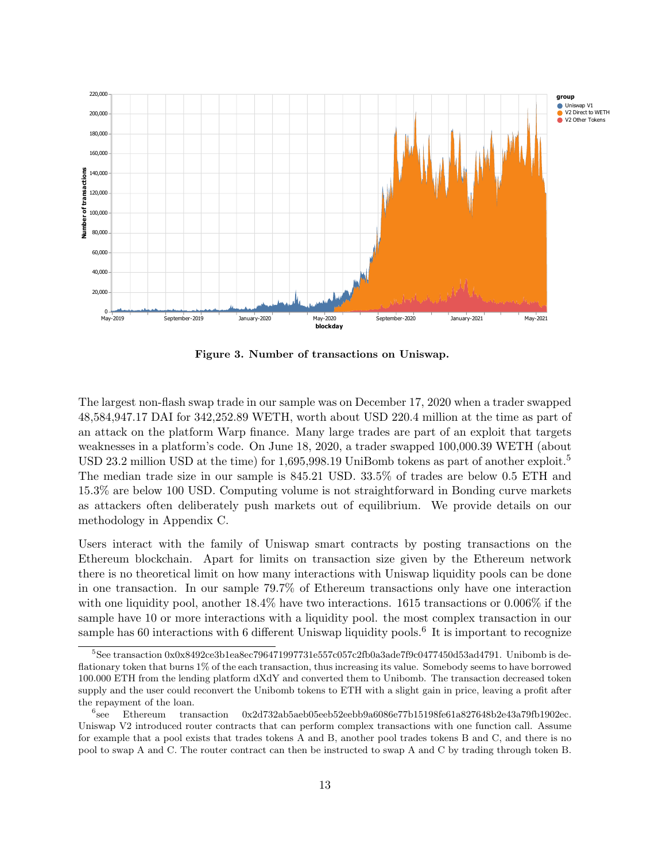

Figure 3. Number of transactions on Uniswap.

The largest non-flash swap trade in our sample was on December 17, 2020 when a trader swapped 48,584,947.17 DAI for 342,252.89 WETH, worth about USD 220.4 million at the time as part of an attack on the platform Warp finance. Many large trades are part of an exploit that targets weaknesses in a platform's code. On June 18, 2020, a trader swapped 100,000.39 WETH (about USD 23.2 million USD at the time) for 1,695,998.19 UniBomb tokens as part of another exploit.<sup>5</sup> The median trade size in our sample is 845.21 USD. 33.5% of trades are below 0.5 ETH and 15.3% are below 100 USD. Computing volume is not straightforward in Bonding curve markets as attackers often deliberately push markets out of equilibrium. We provide details on our methodology in Appendix C.

Users interact with the family of Uniswap smart contracts by posting transactions on the Ethereum blockchain. Apart for limits on transaction size given by the Ethereum network there is no theoretical limit on how many interactions with Uniswap liquidity pools can be done in one transaction. In our sample 79.7% of Ethereum transactions only have one interaction with one liquidity pool, another  $18.4\%$  have two interactions. 1615 transactions or 0.006% if the sample have 10 or more interactions with a liquidity pool. the most complex transaction in our sample has 60 interactions with 6 different Uniswap liquidity pools.<sup>6</sup> It is important to recognize

<sup>5</sup>See transaction 0x0x8492ce3b1ea8ec796471997731e557c057c2fb0a3ade7f9c0477450d53ad4791. Unibomb is deflationary token that burns 1% of the each transaction, thus increasing its value. Somebody seems to have borrowed 100.000 ETH from the lending platform dXdY and converted them to Unibomb. The transaction decreased token supply and the user could reconvert the Unibomb tokens to ETH with a slight gain in price, leaving a profit after the repayment of the loan.

 $^{6}$ see see Ethereum transaction 0x2d732ab5aeb05eeb52eebb9a6086e77b15198fe61a827648b2e43a79fb1902ec. Uniswap V2 introduced router contracts that can perform complex transactions with one function call. Assume for example that a pool exists that trades tokens A and B, another pool trades tokens B and C, and there is no pool to swap A and C. The router contract can then be instructed to swap A and C by trading through token B.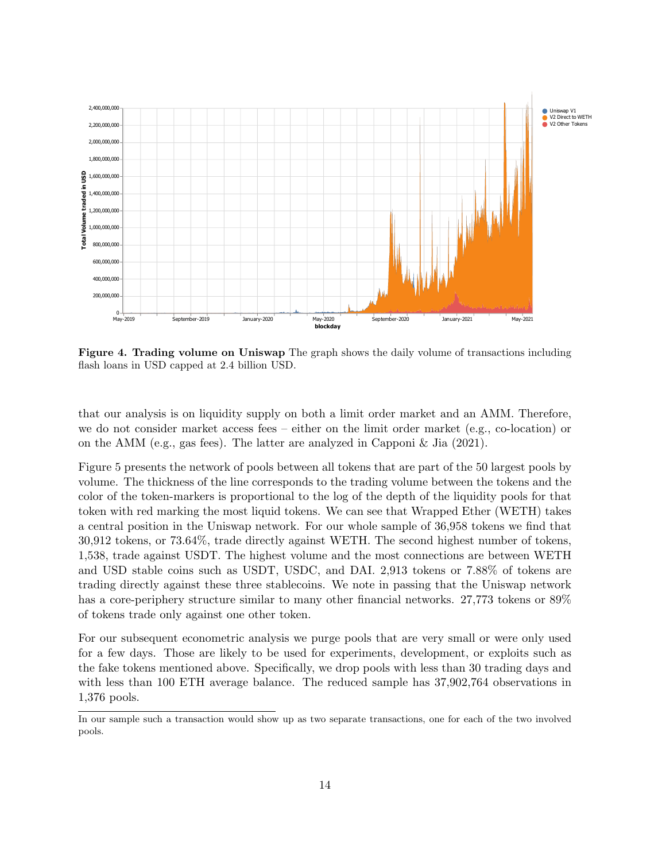

Figure 4. Trading volume on Uniswap The graph shows the daily volume of transactions including flash loans in USD capped at 2.4 billion USD.

that our analysis is on liquidity supply on both a limit order market and an AMM. Therefore, we do not consider market access fees – either on the limit order market (e.g., co-location) or on the AMM (e.g., gas fees). The latter are analyzed in Capponi  $\&$  Jia (2021).

Figure 5 presents the network of pools between all tokens that are part of the 50 largest pools by volume. The thickness of the line corresponds to the trading volume between the tokens and the color of the token-markers is proportional to the log of the depth of the liquidity pools for that token with red marking the most liquid tokens. We can see that Wrapped Ether (WETH) takes a central position in the Uniswap network. For our whole sample of 36,958 tokens we find that 30,912 tokens, or 73.64%, trade directly against WETH. The second highest number of tokens, 1,538, trade against USDT. The highest volume and the most connections are between WETH and USD stable coins such as USDT, USDC, and DAI. 2,913 tokens or 7.88% of tokens are trading directly against these three stablecoins. We note in passing that the Uniswap network has a core-periphery structure similar to many other financial networks. 27,773 tokens or 89% of tokens trade only against one other token.

For our subsequent econometric analysis we purge pools that are very small or were only used for a few days. Those are likely to be used for experiments, development, or exploits such as the fake tokens mentioned above. Specifically, we drop pools with less than 30 trading days and with less than 100 ETH average balance. The reduced sample has 37,902,764 observations in 1,376 pools.

In our sample such a transaction would show up as two separate transactions, one for each of the two involved pools.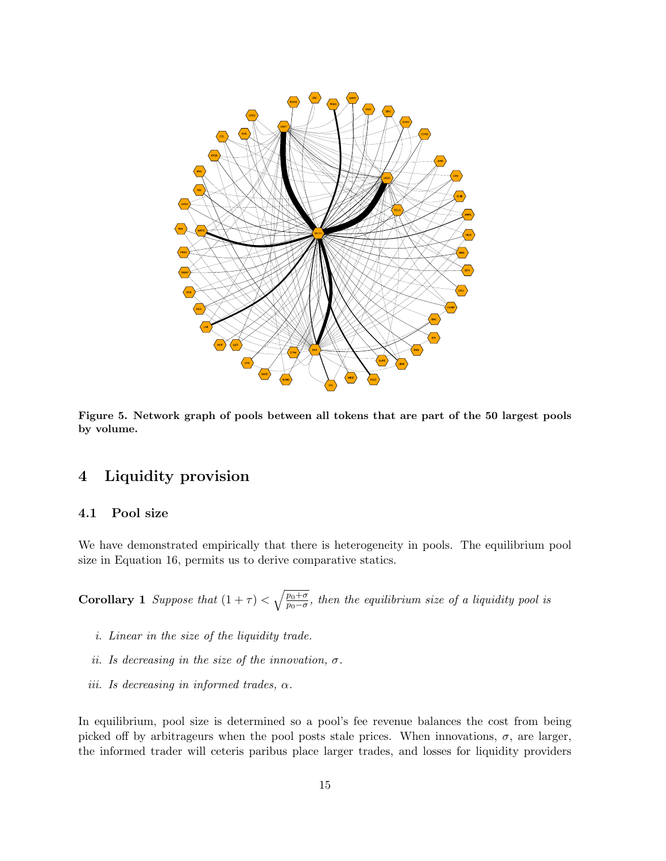

Figure 5. Network graph of pools between all tokens that are part of the 50 largest pools by volume.

## 4 Liquidity provision

### 4.1 Pool size

We have demonstrated empirically that there is heterogeneity in pools. The equilibrium pool size in Equation 16, permits us to derive comparative statics.

**Corollary 1** Suppose that  $(1 + \tau) < \sqrt{\frac{p_0 + \sigma}{p_0 - \sigma}}$  $\frac{p_0+\sigma}{p_0-\sigma}$ , then the equilibrium size of a liquidity pool is

- i. Linear in the size of the liquidity trade.
- ii. Is decreasing in the size of the innovation,  $\sigma$ .
- iii. Is decreasing in informed trades,  $\alpha$ .

In equilibrium, pool size is determined so a pool's fee revenue balances the cost from being picked off by arbitrageurs when the pool posts stale prices. When innovations,  $\sigma$ , are larger, the informed trader will ceteris paribus place larger trades, and losses for liquidity providers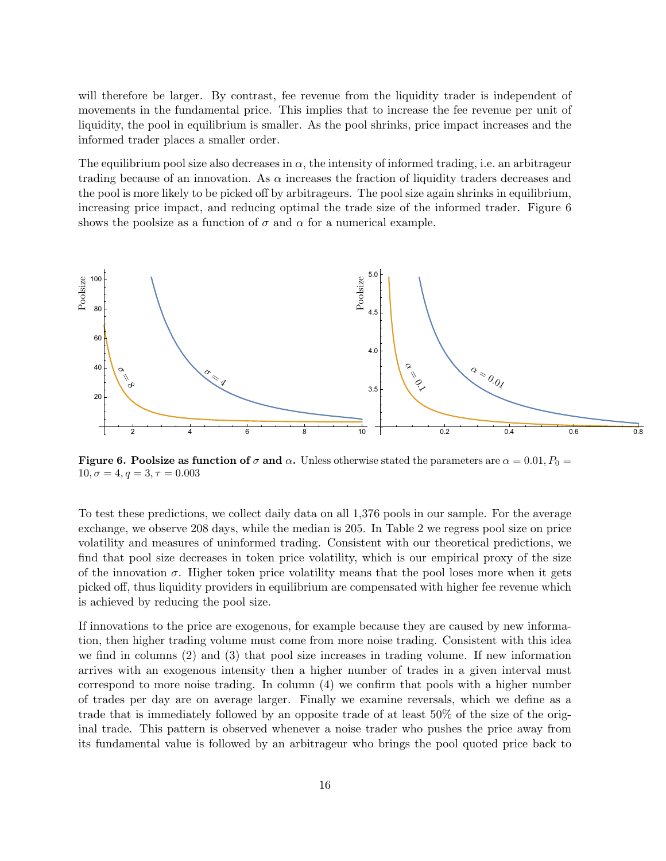will therefore be larger. By contrast, fee revenue from the liquidity trader is independent of movements in the fundamental price. This implies that to increase the fee revenue per unit of liquidity, the pool in equilibrium is smaller. As the pool shrinks, price impact increases and the informed trader places a smaller order.

The equilibrium pool size also decreases in  $\alpha$ , the intensity of informed trading, i.e. an arbitrageur trading because of an innovation. As  $\alpha$  increases the fraction of liquidity traders decreases and the pool is more likely to be picked off by arbitrageurs. The pool size again shrinks in equilibrium, increasing price impact, and reducing optimal the trade size of the informed trader. Figure 6 shows the poolsize as a function of  $\sigma$  and  $\alpha$  for a numerical example.



**Figure 6. Poolsize as function of**  $\sigma$  and  $\alpha$ . Unless otherwise stated the parameters are  $\alpha = 0.01$ ,  $P_0 =$  $10, \sigma = 4, q = 3, \tau = 0.003$ 

To test these predictions, we collect daily data on all 1,376 pools in our sample. For the average exchange, we observe 208 days, while the median is 205. In Table 2 we regress pool size on price volatility and measures of uninformed trading. Consistent with our theoretical predictions, we find that pool size decreases in token price volatility, which is our empirical proxy of the size of the innovation  $\sigma$ . Higher token price volatility means that the pool loses more when it gets picked off, thus liquidity providers in equilibrium are compensated with higher fee revenue which is achieved by reducing the pool size.

If innovations to the price are exogenous, for example because they are caused by new information, then higher trading volume must come from more noise trading. Consistent with this idea we find in columns (2) and (3) that pool size increases in trading volume. If new information arrives with an exogenous intensity then a higher number of trades in a given interval must correspond to more noise trading. In column (4) we confirm that pools with a higher number of trades per day are on average larger. Finally we examine reversals, which we define as a trade that is immediately followed by an opposite trade of at least 50% of the size of the original trade. This pattern is observed whenever a noise trader who pushes the price away from its fundamental value is followed by an arbitrageur who brings the pool quoted price back to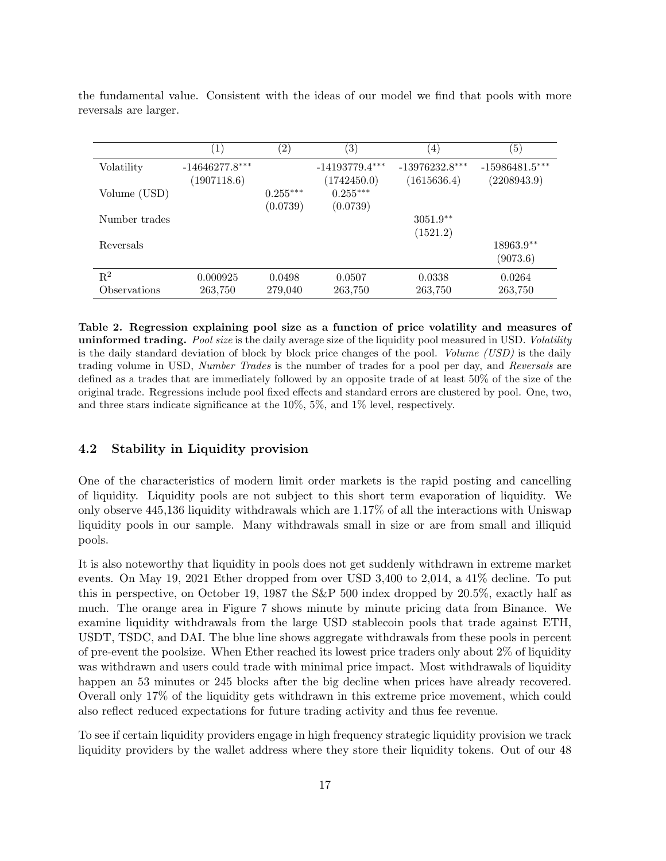|                | $\left 1\right\rangle$          | $\left( 2\right)$      | $\left( 3\right)$               | $\left( 4\right)$               | $\left( 5\right)$               |
|----------------|---------------------------------|------------------------|---------------------------------|---------------------------------|---------------------------------|
| Volatility     | $-14646277.8***$<br>(1907118.6) |                        | $-14193779.4***$<br>(1742450.0) | $-13976232.8***$<br>(1615636.4) | $-15986481.5***$<br>(2208943.9) |
| Volume (USD)   |                                 | $0.255***$<br>(0.0739) | $0.255***$<br>(0.0739)          |                                 |                                 |
| Number trades  |                                 |                        |                                 | $3051.9**$<br>(1521.2)          |                                 |
| Reversals      |                                 |                        |                                 |                                 | 18963.9**<br>(9073.6)           |
| $\mathbf{R}^2$ | 0.000925                        | 0.0498                 | 0.0507                          | 0.0338                          | 0.0264                          |
| Observations   | 263,750                         | 279,040                | 263,750                         | 263,750                         | 263,750                         |

the fundamental value. Consistent with the ideas of our model we find that pools with more reversals are larger.

Table 2. Regression explaining pool size as a function of price volatility and measures of uninformed trading. Pool size is the daily average size of the liquidity pool measured in USD. Volatility is the daily standard deviation of block by block price changes of the pool. Volume (USD) is the daily trading volume in USD, Number Trades is the number of trades for a pool per day, and Reversals are defined as a trades that are immediately followed by an opposite trade of at least 50% of the size of the original trade. Regressions include pool fixed effects and standard errors are clustered by pool. One, two, and three stars indicate significance at the 10%, 5%, and 1% level, respectively.

### 4.2 Stability in Liquidity provision

One of the characteristics of modern limit order markets is the rapid posting and cancelling of liquidity. Liquidity pools are not subject to this short term evaporation of liquidity. We only observe 445,136 liquidity withdrawals which are 1.17% of all the interactions with Uniswap liquidity pools in our sample. Many withdrawals small in size or are from small and illiquid pools.

It is also noteworthy that liquidity in pools does not get suddenly withdrawn in extreme market events. On May 19, 2021 Ether dropped from over USD 3,400 to 2,014, a 41% decline. To put this in perspective, on October 19, 1987 the S&P 500 index dropped by 20.5%, exactly half as much. The orange area in Figure 7 shows minute by minute pricing data from Binance. We examine liquidity withdrawals from the large USD stablecoin pools that trade against ETH, USDT, TSDC, and DAI. The blue line shows aggregate withdrawals from these pools in percent of pre-event the poolsize. When Ether reached its lowest price traders only about 2% of liquidity was withdrawn and users could trade with minimal price impact. Most withdrawals of liquidity happen an 53 minutes or 245 blocks after the big decline when prices have already recovered. Overall only 17% of the liquidity gets withdrawn in this extreme price movement, which could also reflect reduced expectations for future trading activity and thus fee revenue.

To see if certain liquidity providers engage in high frequency strategic liquidity provision we track liquidity providers by the wallet address where they store their liquidity tokens. Out of our 48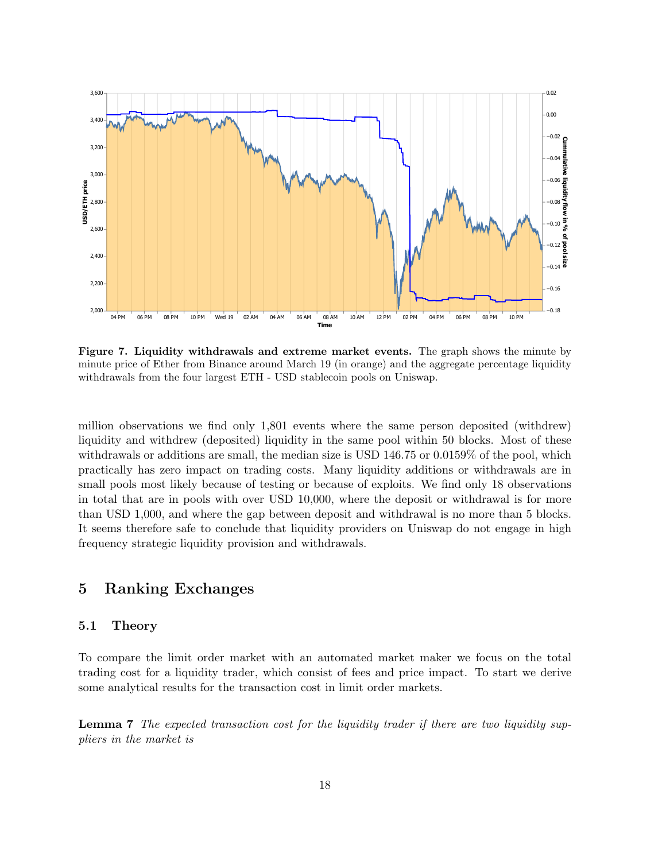

Figure 7. Liquidity withdrawals and extreme market events. The graph shows the minute by minute price of Ether from Binance around March 19 (in orange) and the aggregate percentage liquidity withdrawals from the four largest ETH - USD stablecoin pools on Uniswap.

million observations we find only 1,801 events where the same person deposited (withdrew) liquidity and withdrew (deposited) liquidity in the same pool within 50 blocks. Most of these withdrawals or additions are small, the median size is USD 146.75 or 0.0159% of the pool, which practically has zero impact on trading costs. Many liquidity additions or withdrawals are in small pools most likely because of testing or because of exploits. We find only 18 observations in total that are in pools with over USD 10,000, where the deposit or withdrawal is for more than USD 1,000, and where the gap between deposit and withdrawal is no more than 5 blocks. It seems therefore safe to conclude that liquidity providers on Uniswap do not engage in high frequency strategic liquidity provision and withdrawals.

### 5 Ranking Exchanges

### 5.1 Theory

To compare the limit order market with an automated market maker we focus on the total trading cost for a liquidity trader, which consist of fees and price impact. To start we derive some analytical results for the transaction cost in limit order markets.

Lemma 7 The expected transaction cost for the liquidity trader if there are two liquidity suppliers in the market is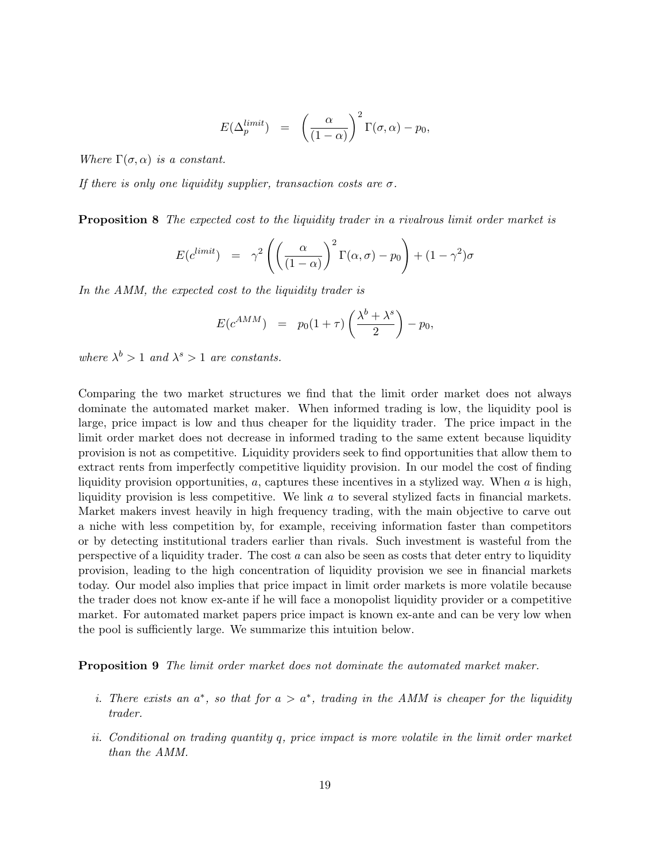$$
E(\Delta_p^{limit}) = \left(\frac{\alpha}{(1-\alpha)}\right)^2 \Gamma(\sigma, \alpha) - p_0,
$$

Where  $\Gamma(\sigma, \alpha)$  is a constant.

If there is only one liquidity supplier, transaction costs are  $\sigma$ .

**Proposition 8** The expected cost to the liquidity trader in a rivalrous limit order market is

$$
E(c^{limit}) = \gamma^2 \left( \left( \frac{\alpha}{(1-\alpha)} \right)^2 \Gamma(\alpha, \sigma) - p_0 \right) + (1-\gamma^2)\sigma
$$

In the AMM, the expected cost to the liquidity trader is

$$
E(c^{AMM}) = p_0(1+\tau)\left(\frac{\lambda^b + \lambda^s}{2}\right) - p_0,
$$

where  $\lambda^b > 1$  and  $\lambda^s > 1$  are constants.

Comparing the two market structures we find that the limit order market does not always dominate the automated market maker. When informed trading is low, the liquidity pool is large, price impact is low and thus cheaper for the liquidity trader. The price impact in the limit order market does not decrease in informed trading to the same extent because liquidity provision is not as competitive. Liquidity providers seek to find opportunities that allow them to extract rents from imperfectly competitive liquidity provision. In our model the cost of finding liquidity provision opportunities,  $a$ , captures these incentives in a stylized way. When  $a$  is high, liquidity provision is less competitive. We link  $a$  to several stylized facts in financial markets. Market makers invest heavily in high frequency trading, with the main objective to carve out a niche with less competition by, for example, receiving information faster than competitors or by detecting institutional traders earlier than rivals. Such investment is wasteful from the perspective of a liquidity trader. The cost  $a$  can also be seen as costs that deter entry to liquidity provision, leading to the high concentration of liquidity provision we see in financial markets today. Our model also implies that price impact in limit order markets is more volatile because the trader does not know ex-ante if he will face a monopolist liquidity provider or a competitive market. For automated market papers price impact is known ex-ante and can be very low when the pool is sufficiently large. We summarize this intuition below.

Proposition 9 The limit order market does not dominate the automated market maker.

- i. There exists an  $a^*$ , so that for  $a > a^*$ , trading in the AMM is cheaper for the liquidity trader.
- ii. Conditional on trading quantity q, price impact is more volatile in the limit order market than the AMM.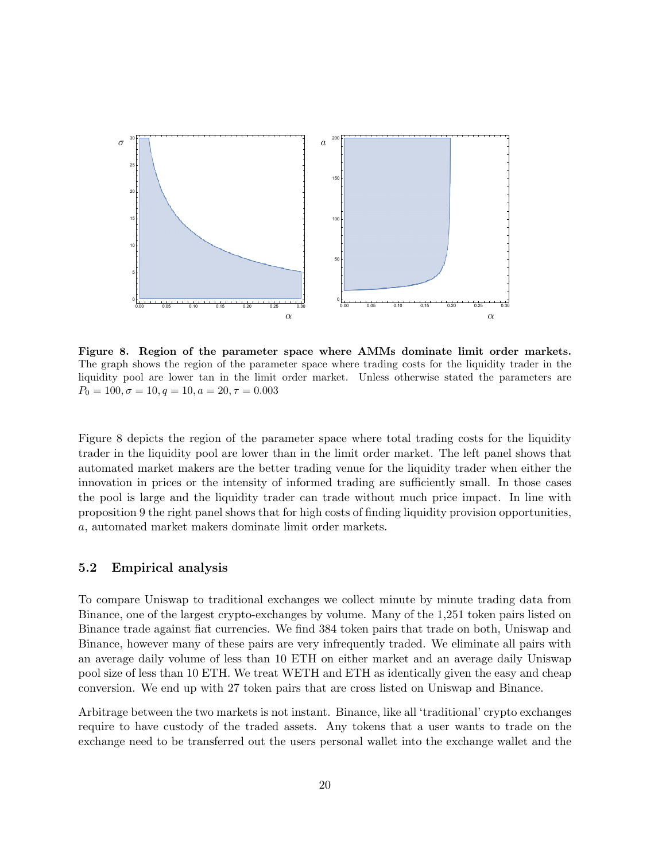

Figure 8. Region of the parameter space where AMMs dominate limit order markets. The graph shows the region of the parameter space where trading costs for the liquidity trader in the liquidity pool are lower tan in the limit order market. Unless otherwise stated the parameters are  $P_0 = 100, \sigma = 10, q = 10, a = 20, \tau = 0.003$ 

Figure 8 depicts the region of the parameter space where total trading costs for the liquidity trader in the liquidity pool are lower than in the limit order market. The left panel shows that automated market makers are the better trading venue for the liquidity trader when either the innovation in prices or the intensity of informed trading are sufficiently small. In those cases the pool is large and the liquidity trader can trade without much price impact. In line with proposition 9 the right panel shows that for high costs of finding liquidity provision opportunities, a, automated market makers dominate limit order markets.

### 5.2 Empirical analysis

To compare Uniswap to traditional exchanges we collect minute by minute trading data from Binance, one of the largest crypto-exchanges by volume. Many of the 1,251 token pairs listed on Binance trade against fiat currencies. We find 384 token pairs that trade on both, Uniswap and Binance, however many of these pairs are very infrequently traded. We eliminate all pairs with an average daily volume of less than 10 ETH on either market and an average daily Uniswap pool size of less than 10 ETH. We treat WETH and ETH as identically given the easy and cheap conversion. We end up with 27 token pairs that are cross listed on Uniswap and Binance.

Arbitrage between the two markets is not instant. Binance, like all 'traditional' crypto exchanges require to have custody of the traded assets. Any tokens that a user wants to trade on the exchange need to be transferred out the users personal wallet into the exchange wallet and the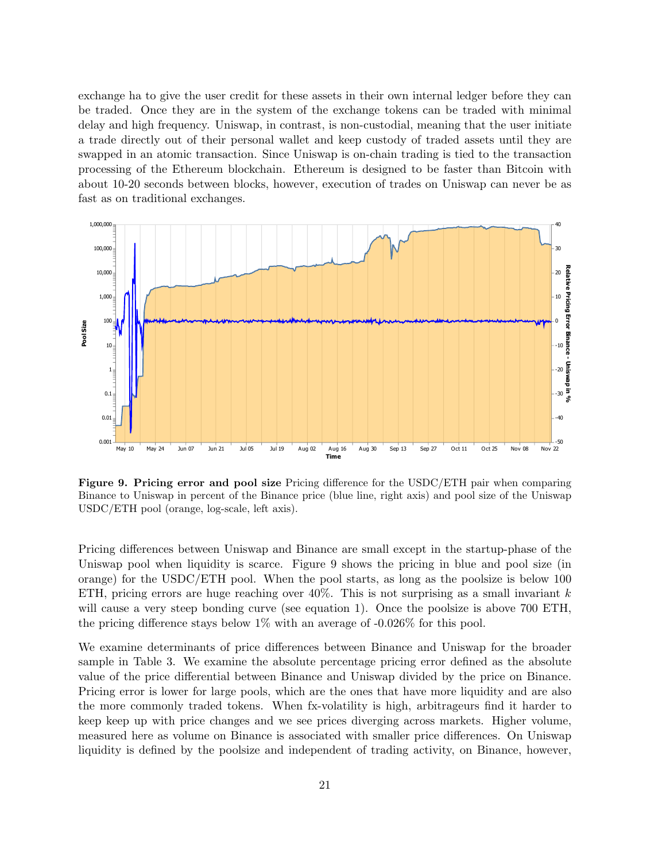exchange ha to give the user credit for these assets in their own internal ledger before they can be traded. Once they are in the system of the exchange tokens can be traded with minimal delay and high frequency. Uniswap, in contrast, is non-custodial, meaning that the user initiate a trade directly out of their personal wallet and keep custody of traded assets until they are swapped in an atomic transaction. Since Uniswap is on-chain trading is tied to the transaction processing of the Ethereum blockchain. Ethereum is designed to be faster than Bitcoin with about 10-20 seconds between blocks, however, execution of trades on Uniswap can never be as fast as on traditional exchanges.



Figure 9. Pricing error and pool size Pricing difference for the USDC/ETH pair when comparing Binance to Uniswap in percent of the Binance price (blue line, right axis) and pool size of the Uniswap USDC/ETH pool (orange, log-scale, left axis).

Pricing differences between Uniswap and Binance are small except in the startup-phase of the Uniswap pool when liquidity is scarce. Figure 9 shows the pricing in blue and pool size (in orange) for the USDC/ETH pool. When the pool starts, as long as the poolsize is below 100 ETH, pricing errors are huge reaching over  $40\%$ . This is not surprising as a small invariant k will cause a very steep bonding curve (see equation 1). Once the poolsize is above 700 ETH, the pricing difference stays below 1% with an average of -0.026% for this pool.

We examine determinants of price differences between Binance and Uniswap for the broader sample in Table 3. We examine the absolute percentage pricing error defined as the absolute value of the price differential between Binance and Uniswap divided by the price on Binance. Pricing error is lower for large pools, which are the ones that have more liquidity and are also the more commonly traded tokens. When fx-volatility is high, arbitrageurs find it harder to keep keep up with price changes and we see prices diverging across markets. Higher volume, measured here as volume on Binance is associated with smaller price differences. On Uniswap liquidity is defined by the poolsize and independent of trading activity, on Binance, however,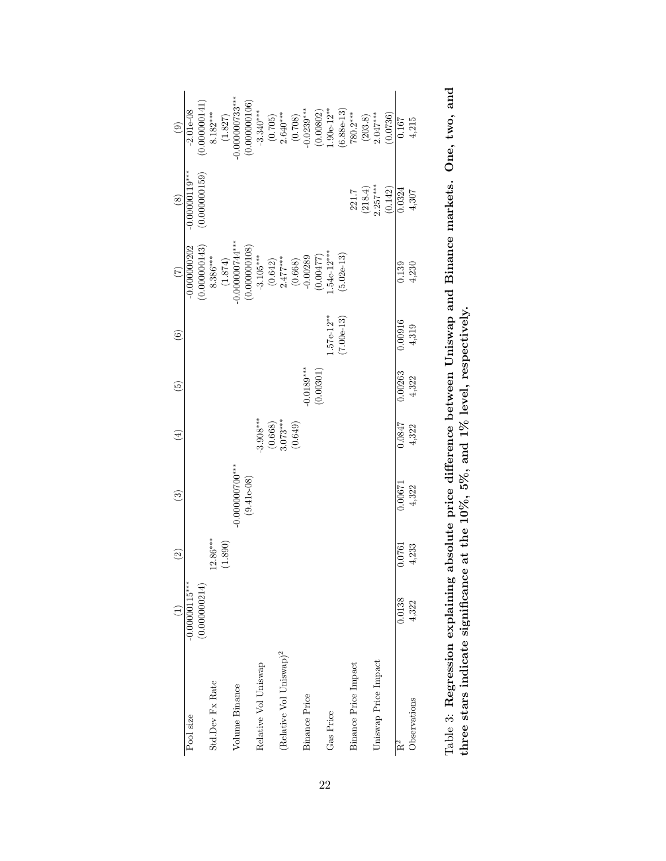|                                     |                   | $\widehat{\mathfrak{S}}$ | $\widehat{\mathbb{C}}$ | $\left( \frac{1}{2} \right)$ | $\widetilde{5}$ | $\odot$      | $\widehat{C}$                                                                                                                                                  | $\circledast$                                                          | $\circledcirc$                                                                                                                                                                                                                                                                                                          |
|-------------------------------------|-------------------|--------------------------|------------------------|------------------------------|-----------------|--------------|----------------------------------------------------------------------------------------------------------------------------------------------------------------|------------------------------------------------------------------------|-------------------------------------------------------------------------------------------------------------------------------------------------------------------------------------------------------------------------------------------------------------------------------------------------------------------------|
| Pool size                           | $-0.000000115***$ |                          |                        |                              |                 |              | $-0.000000202$                                                                                                                                                 | $-0.00000119***$                                                       | $-2.01e-08$                                                                                                                                                                                                                                                                                                             |
|                                     | (0.000000214)     |                          |                        |                              |                 |              |                                                                                                                                                                | (0.000000159)                                                          | (0.000000141                                                                                                                                                                                                                                                                                                            |
| Std.Dev Fx Rate                     |                   | $12.86***$               |                        |                              |                 |              |                                                                                                                                                                |                                                                        | $8.182***$                                                                                                                                                                                                                                                                                                              |
|                                     |                   | (1.890)                  |                        |                              |                 |              |                                                                                                                                                                |                                                                        |                                                                                                                                                                                                                                                                                                                         |
| Volume Binance                      |                   |                          | $-0.000000700$ ***     |                              |                 |              | $(0.000000143)$<br>$8.386***$<br>$(1.874)$<br>$(1.874)$<br>$-0.000000744***$                                                                                   |                                                                        | $(1.827)$<br>-0.000000733***                                                                                                                                                                                                                                                                                            |
|                                     |                   |                          | $(9.41e-08)$           |                              |                 |              | $\begin{array}{c} (0.000000108) \\ -3.105^{***} \\ (0.642) \\ 2.477^{***} \\ 2.477^{***} \\ (0.668) \\ -0.00289 \\ (0.00477) \\ 1.54e-12^{***} \\ \end{array}$ |                                                                        | $\begin{array}{c} (0.000000106) \\ -3.340^{***} \\ (0.705) \\ 2.640^{***} \\ (0.708) \\ (0.708) \\ (0.0802) \\ (0.00802) \\ (0.086-12^{***} \\ (6.88e-13) \\ (203.8) \\ (203.8) \\ (203.8) \\ (203.8) \\ (203.8) \\ (203.8) \\ (203.8) \\ (203.8) \\ (203.8) \\ (203.8) \\ (203.8) \\ (203.8) \\ (203.8) \\ (203.8) \\$ |
| Relative Vol Uniswap                |                   |                          |                        | $-3.908***$                  |                 |              |                                                                                                                                                                |                                                                        |                                                                                                                                                                                                                                                                                                                         |
|                                     |                   |                          |                        |                              |                 |              |                                                                                                                                                                |                                                                        |                                                                                                                                                                                                                                                                                                                         |
| (Relative Vol Uniswap) <sup>2</sup> |                   |                          |                        | $(0.668)$ $3.073***$         |                 |              |                                                                                                                                                                |                                                                        |                                                                                                                                                                                                                                                                                                                         |
|                                     |                   |                          |                        | (0.649)                      |                 |              |                                                                                                                                                                |                                                                        |                                                                                                                                                                                                                                                                                                                         |
| <b>Binance Price</b>                |                   |                          |                        |                              | $-0.0189***$    |              |                                                                                                                                                                |                                                                        |                                                                                                                                                                                                                                                                                                                         |
|                                     |                   |                          |                        |                              | (0.00301)       |              |                                                                                                                                                                |                                                                        |                                                                                                                                                                                                                                                                                                                         |
| Gas Price                           |                   |                          |                        |                              |                 | $.57e-12**$  |                                                                                                                                                                |                                                                        |                                                                                                                                                                                                                                                                                                                         |
|                                     |                   |                          |                        |                              |                 | $(7.00e-13)$ | $5.02e-13$                                                                                                                                                     |                                                                        |                                                                                                                                                                                                                                                                                                                         |
| Binance Price Impact                |                   |                          |                        |                              |                 |              |                                                                                                                                                                |                                                                        |                                                                                                                                                                                                                                                                                                                         |
|                                     |                   |                          |                        |                              |                 |              |                                                                                                                                                                |                                                                        |                                                                                                                                                                                                                                                                                                                         |
| Uniswap Price Impact                |                   |                          |                        |                              |                 |              |                                                                                                                                                                |                                                                        |                                                                                                                                                                                                                                                                                                                         |
|                                     |                   |                          |                        |                              |                 |              |                                                                                                                                                                | $\begin{array}{c} 221.7 \\ (218.4) \\ 2.257*** \\ (0.142) \end{array}$ |                                                                                                                                                                                                                                                                                                                         |
| $\mathbb{R}^2$                      | 0.0138            | 0.0761                   | 0.0067                 | 1780.0                       | 0.00263         | 0.00916      | 0.139                                                                                                                                                          | $\frac{1}{0.0324}$                                                     | 0.167                                                                                                                                                                                                                                                                                                                   |
| Observations                        | 4,322             | 4,233                    | 4,322                  | 4,322                        | 4,322           | 4,319        | 4,230                                                                                                                                                          | 4,307                                                                  | 4,215                                                                                                                                                                                                                                                                                                                   |
|                                     |                   |                          |                        |                              |                 |              |                                                                                                                                                                |                                                                        |                                                                                                                                                                                                                                                                                                                         |

| One, two, and                                   |                                                         |
|-------------------------------------------------|---------------------------------------------------------|
| between Uniswap and Binance markets. L          |                                                         |
|                                                 |                                                         |
|                                                 | r<br>C<br>C<br>C<br>C<br>$\leq$ %, and 1% level, $\Box$ |
| - CCACACALLY CCASE CHILICAG<br>.<br>.<br>.<br>. |                                                         |
| - -- I noninger                                 | e at the $10\%$ , $5\%$                                 |
|                                                 | ֚֝<br>֧֧֪֪֪֪֪֪֪֦֚֚֚֚֚֝֝֝֝֝֬֝֓֝֜֜֜֜֜֝֜֝֝֟֜֝֝֟֜֝֝         |
|                                                 | i                                                       |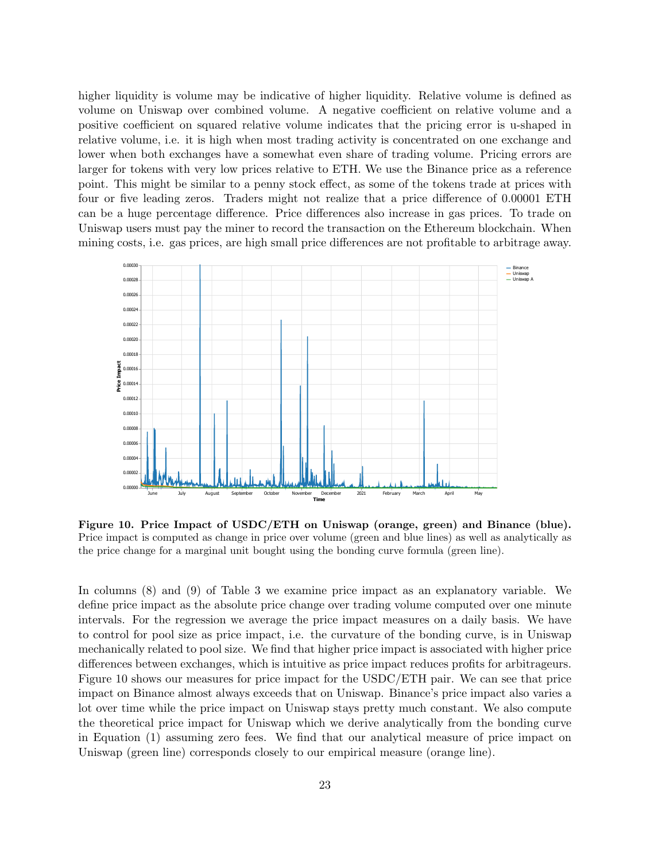higher liquidity is volume may be indicative of higher liquidity. Relative volume is defined as volume on Uniswap over combined volume. A negative coefficient on relative volume and a positive coefficient on squared relative volume indicates that the pricing error is u-shaped in relative volume, i.e. it is high when most trading activity is concentrated on one exchange and lower when both exchanges have a somewhat even share of trading volume. Pricing errors are larger for tokens with very low prices relative to ETH. We use the Binance price as a reference point. This might be similar to a penny stock effect, as some of the tokens trade at prices with four or five leading zeros. Traders might not realize that a price difference of 0.00001 ETH can be a huge percentage difference. Price differences also increase in gas prices. To trade on Uniswap users must pay the miner to record the transaction on the Ethereum blockchain. When mining costs, i.e. gas prices, are high small price differences are not profitable to arbitrage away.



Figure 10. Price Impact of USDC/ETH on Uniswap (orange, green) and Binance (blue). Price impact is computed as change in price over volume (green and blue lines) as well as analytically as the price change for a marginal unit bought using the bonding curve formula (green line).

In columns (8) and (9) of Table 3 we examine price impact as an explanatory variable. We define price impact as the absolute price change over trading volume computed over one minute intervals. For the regression we average the price impact measures on a daily basis. We have to control for pool size as price impact, i.e. the curvature of the bonding curve, is in Uniswap mechanically related to pool size. We find that higher price impact is associated with higher price differences between exchanges, which is intuitive as price impact reduces profits for arbitrageurs. Figure 10 shows our measures for price impact for the USDC/ETH pair. We can see that price impact on Binance almost always exceeds that on Uniswap. Binance's price impact also varies a lot over time while the price impact on Uniswap stays pretty much constant. We also compute the theoretical price impact for Uniswap which we derive analytically from the bonding curve in Equation (1) assuming zero fees. We find that our analytical measure of price impact on Uniswap (green line) corresponds closely to our empirical measure (orange line).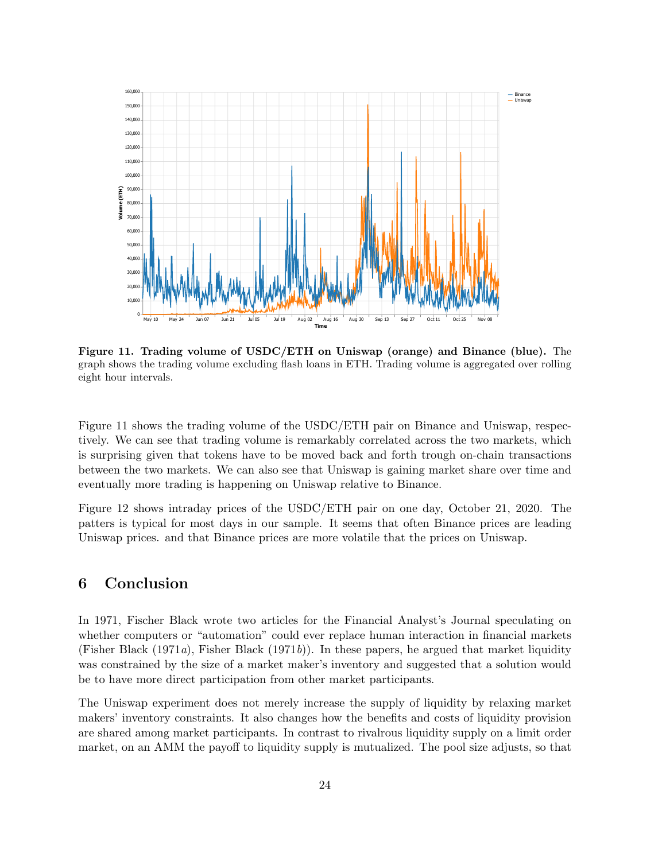

Figure 11. Trading volume of USDC/ETH on Uniswap (orange) and Binance (blue). The graph shows the trading volume excluding flash loans in ETH. Trading volume is aggregated over rolling eight hour intervals.

Figure 11 shows the trading volume of the USDC/ETH pair on Binance and Uniswap, respectively. We can see that trading volume is remarkably correlated across the two markets, which is surprising given that tokens have to be moved back and forth trough on-chain transactions between the two markets. We can also see that Uniswap is gaining market share over time and eventually more trading is happening on Uniswap relative to Binance.

Figure 12 shows intraday prices of the USDC/ETH pair on one day, October 21, 2020. The patters is typical for most days in our sample. It seems that often Binance prices are leading Uniswap prices. and that Binance prices are more volatile that the prices on Uniswap.

### 6 Conclusion

In 1971, Fischer Black wrote two articles for the Financial Analyst's Journal speculating on whether computers or "automation" could ever replace human interaction in financial markets (Fisher Black (1971a), Fisher Black (1971b)). In these papers, he argued that market liquidity was constrained by the size of a market maker's inventory and suggested that a solution would be to have more direct participation from other market participants.

The Uniswap experiment does not merely increase the supply of liquidity by relaxing market makers' inventory constraints. It also changes how the benefits and costs of liquidity provision are shared among market participants. In contrast to rivalrous liquidity supply on a limit order market, on an AMM the payoff to liquidity supply is mutualized. The pool size adjusts, so that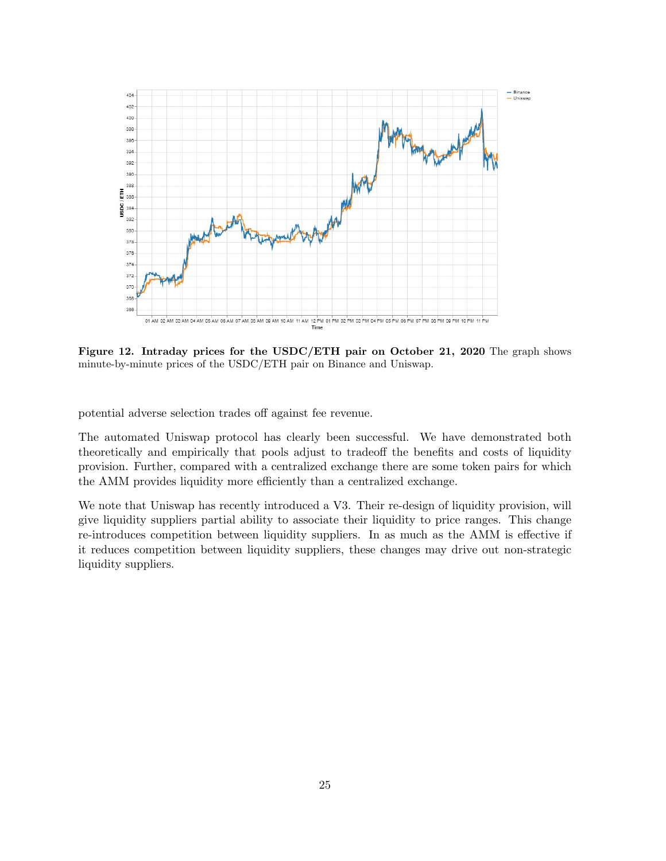

Figure 12. Intraday prices for the USDC/ETH pair on October 21, 2020 The graph shows minute-by-minute prices of the USDC/ETH pair on Binance and Uniswap.

potential adverse selection trades off against fee revenue.

The automated Uniswap protocol has clearly been successful. We have demonstrated both theoretically and empirically that pools adjust to tradeoff the benefits and costs of liquidity provision. Further, compared with a centralized exchange there are some token pairs for which the AMM provides liquidity more efficiently than a centralized exchange.

We note that Uniswap has recently introduced a V3. Their re-design of liquidity provision, will give liquidity suppliers partial ability to associate their liquidity to price ranges. This change re-introduces competition between liquidity suppliers. In as much as the AMM is effective if it reduces competition between liquidity suppliers, these changes may drive out non-strategic liquidity suppliers.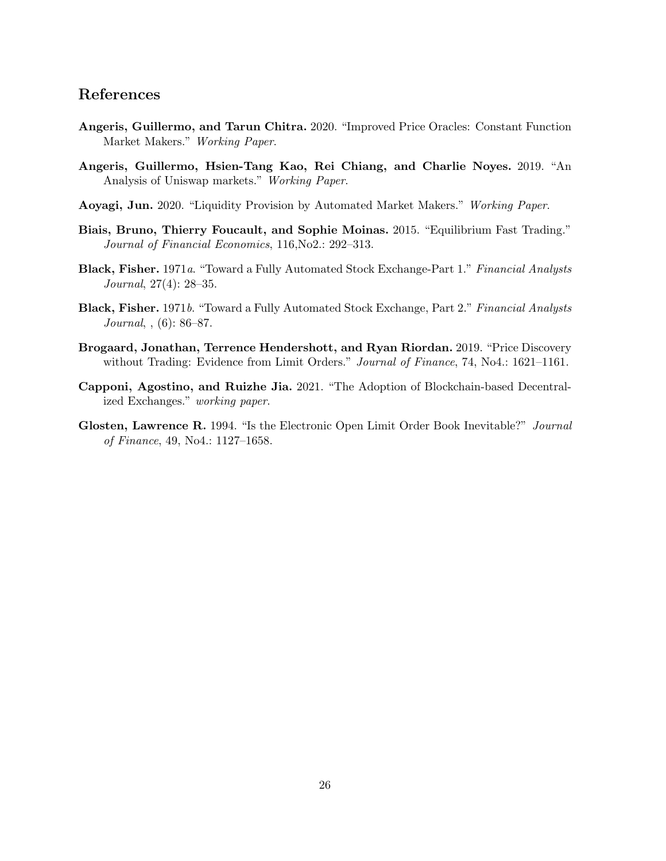## References

- Angeris, Guillermo, and Tarun Chitra. 2020. "Improved Price Oracles: Constant Function Market Makers." Working Paper.
- Angeris, Guillermo, Hsien-Tang Kao, Rei Chiang, and Charlie Noyes. 2019. "An Analysis of Uniswap markets." Working Paper.
- Aoyagi, Jun. 2020. "Liquidity Provision by Automated Market Makers." Working Paper.
- Biais, Bruno, Thierry Foucault, and Sophie Moinas. 2015. "Equilibrium Fast Trading." Journal of Financial Economics, 116,No2.: 292–313.
- Black, Fisher. 1971a. "Toward a Fully Automated Stock Exchange-Part 1." Financial Analysts Journal, 27(4): 28–35.
- Black, Fisher. 1971b. "Toward a Fully Automated Stock Exchange, Part 2." Financial Analysts Journal, , (6): 86–87.
- Brogaard, Jonathan, Terrence Hendershott, and Ryan Riordan. 2019. "Price Discovery without Trading: Evidence from Limit Orders." Journal of Finance, 74, No4.: 1621-1161.
- Capponi, Agostino, and Ruizhe Jia. 2021. "The Adoption of Blockchain-based Decentralized Exchanges." working paper.
- Glosten, Lawrence R. 1994. "Is the Electronic Open Limit Order Book Inevitable?" Journal of Finance, 49, No4.: 1127–1658.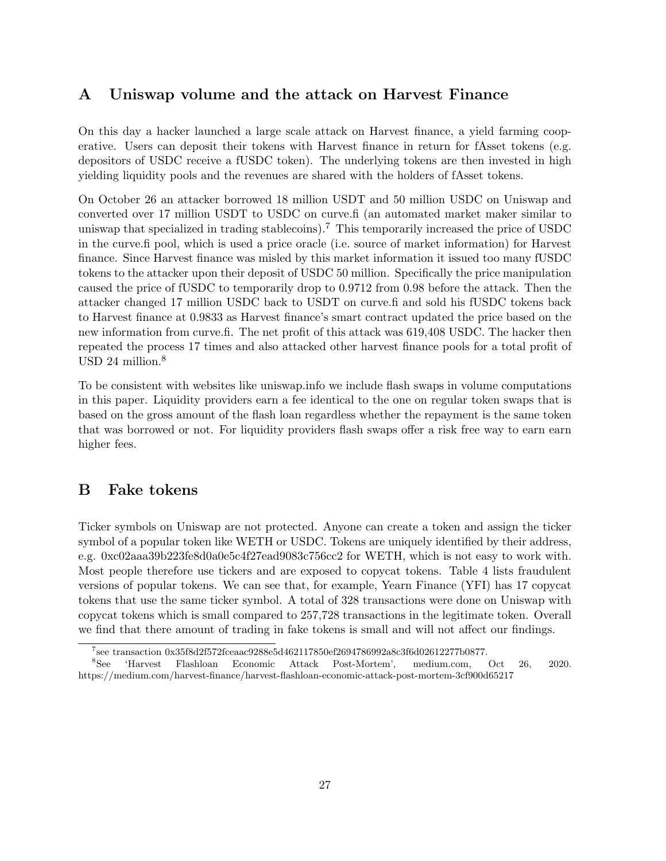## A Uniswap volume and the attack on Harvest Finance

On this day a hacker launched a large scale attack on Harvest finance, a yield farming cooperative. Users can deposit their tokens with Harvest finance in return for fAsset tokens (e.g. depositors of USDC receive a fUSDC token). The underlying tokens are then invested in high yielding liquidity pools and the revenues are shared with the holders of fAsset tokens.

On October 26 an attacker borrowed 18 million USDT and 50 million USDC on Uniswap and converted over 17 million USDT to USDC on curve.fi (an automated market maker similar to uniswap that specialized in trading stablecoins).<sup>7</sup> This temporarily increased the price of USDC in the curve.fi pool, which is used a price oracle (i.e. source of market information) for Harvest finance. Since Harvest finance was misled by this market information it issued too many fUSDC tokens to the attacker upon their deposit of USDC 50 million. Specifically the price manipulation caused the price of fUSDC to temporarily drop to 0.9712 from 0.98 before the attack. Then the attacker changed 17 million USDC back to USDT on curve.fi and sold his fUSDC tokens back to Harvest finance at 0.9833 as Harvest finance's smart contract updated the price based on the new information from curve.fi. The net profit of this attack was 619,408 USDC. The hacker then repeated the process 17 times and also attacked other harvest finance pools for a total profit of USD 24 million.<sup>8</sup>

To be consistent with websites like uniswap.info we include flash swaps in volume computations in this paper. Liquidity providers earn a fee identical to the one on regular token swaps that is based on the gross amount of the flash loan regardless whether the repayment is the same token that was borrowed or not. For liquidity providers flash swaps offer a risk free way to earn earn higher fees.

### B Fake tokens

Ticker symbols on Uniswap are not protected. Anyone can create a token and assign the ticker symbol of a popular token like WETH or USDC. Tokens are uniquely identified by their address, e.g. 0xc02aaa39b223fe8d0a0e5c4f27ead9083c756cc2 for WETH, which is not easy to work with. Most people therefore use tickers and are exposed to copycat tokens. Table 4 lists fraudulent versions of popular tokens. We can see that, for example, Yearn Finance (YFI) has 17 copycat tokens that use the same ticker symbol. A total of 328 transactions were done on Uniswap with copycat tokens which is small compared to 257,728 transactions in the legitimate token. Overall we find that there amount of trading in fake tokens is small and will not affect our findings.

<sup>7</sup> see transaction 0x35f8d2f572fceaac9288e5d462117850ef2694786992a8c3f6d02612277b0877.

<sup>8</sup>See 'Harvest Flashloan Economic Attack Post-Mortem', medium.com, Oct 26, 2020. https://medium.com/harvest-finance/harvest-flashloan-economic-attack-post-mortem-3cf900d65217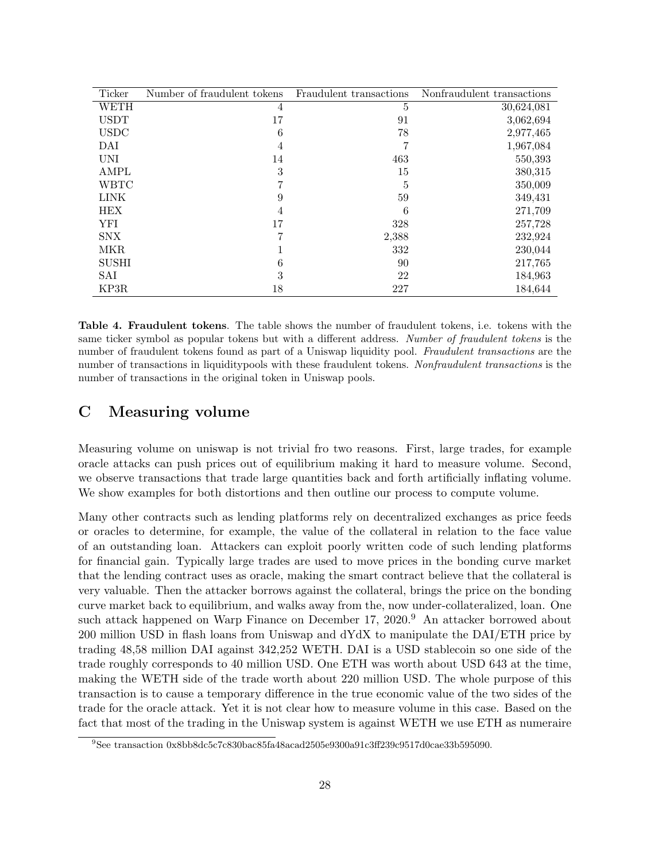| Ticker       | Number of fraudulent tokens | Fraudulent transactions | Nonfraudulent transactions |
|--------------|-----------------------------|-------------------------|----------------------------|
| WETH         | 4                           | 5                       | 30,624,081                 |
| <b>USDT</b>  | 17                          | 91                      | 3,062,694                  |
| <b>USDC</b>  | 6                           | 78                      | 2,977,465                  |
| DAI          | 4                           | 7                       | 1,967,084                  |
| <b>UNI</b>   | 14                          | 463                     | 550,393                    |
| AMPL         | 3                           | 15                      | 380,315                    |
| <b>WBTC</b>  |                             | 5                       | 350,009                    |
| <b>LINK</b>  | 9                           | 59                      | 349,431                    |
| <b>HEX</b>   | 4                           | 6                       | 271,709                    |
| YFI          | 17                          | 328                     | 257,728                    |
| SNX          |                             | 2,388                   | 232,924                    |
| MKR          |                             | 332                     | 230,044                    |
| <b>SUSHI</b> | 6                           | 90                      | 217,765                    |
| SAI          | 3                           | 22                      | 184,963                    |
| KP3R         | 18                          | 227                     | 184,644                    |

Table 4. Fraudulent tokens. The table shows the number of fraudulent tokens, i.e. tokens with the same ticker symbol as popular tokens but with a different address. Number of fraudulent tokens is the number of fraudulent tokens found as part of a Uniswap liquidity pool. Fraudulent transactions are the number of transactions in liquiditypools with these fraudulent tokens. Nonfraudulent transactions is the number of transactions in the original token in Uniswap pools.

## C Measuring volume

Measuring volume on uniswap is not trivial fro two reasons. First, large trades, for example oracle attacks can push prices out of equilibrium making it hard to measure volume. Second, we observe transactions that trade large quantities back and forth artificially inflating volume. We show examples for both distortions and then outline our process to compute volume.

Many other contracts such as lending platforms rely on decentralized exchanges as price feeds or oracles to determine, for example, the value of the collateral in relation to the face value of an outstanding loan. Attackers can exploit poorly written code of such lending platforms for financial gain. Typically large trades are used to move prices in the bonding curve market that the lending contract uses as oracle, making the smart contract believe that the collateral is very valuable. Then the attacker borrows against the collateral, brings the price on the bonding curve market back to equilibrium, and walks away from the, now under-collateralized, loan. One such attack happened on Warp Finance on December 17, 2020.<sup>9</sup> An attacker borrowed about 200 million USD in flash loans from Uniswap and dYdX to manipulate the DAI/ETH price by trading 48,58 million DAI against 342,252 WETH. DAI is a USD stablecoin so one side of the trade roughly corresponds to 40 million USD. One ETH was worth about USD 643 at the time, making the WETH side of the trade worth about 220 million USD. The whole purpose of this transaction is to cause a temporary difference in the true economic value of the two sides of the trade for the oracle attack. Yet it is not clear how to measure volume in this case. Based on the fact that most of the trading in the Uniswap system is against WETH we use ETH as numeraire

<sup>9</sup>See transaction 0x8bb8dc5c7c830bac85fa48acad2505e9300a91c3ff239c9517d0cae33b595090.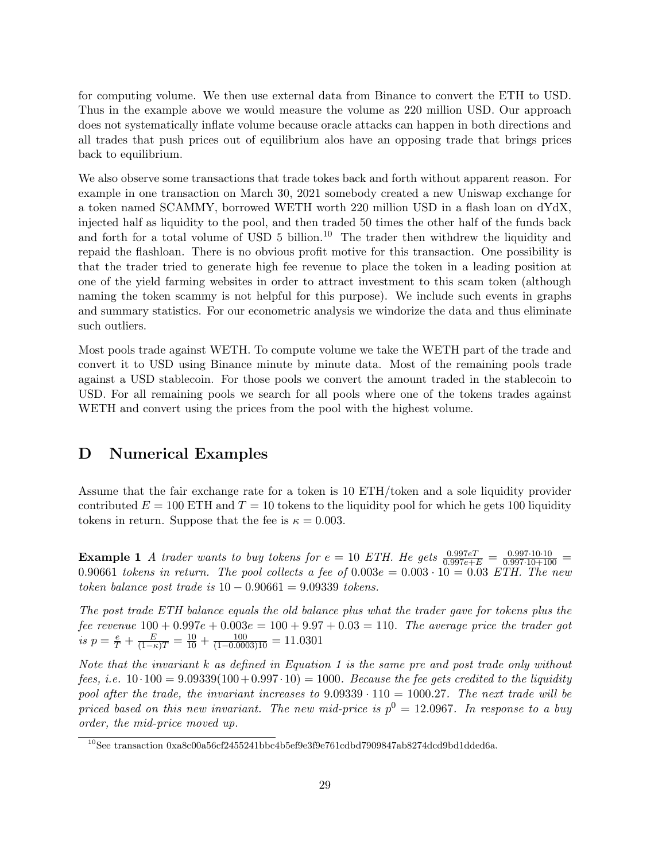for computing volume. We then use external data from Binance to convert the ETH to USD. Thus in the example above we would measure the volume as 220 million USD. Our approach does not systematically inflate volume because oracle attacks can happen in both directions and all trades that push prices out of equilibrium alos have an opposing trade that brings prices back to equilibrium.

We also observe some transactions that trade tokes back and forth without apparent reason. For example in one transaction on March 30, 2021 somebody created a new Uniswap exchange for a token named SCAMMY, borrowed WETH worth 220 million USD in a flash loan on dYdX, injected half as liquidity to the pool, and then traded 50 times the other half of the funds back and forth for a total volume of USD 5 billion.<sup>10</sup> The trader then withdrew the liquidity and repaid the flashloan. There is no obvious profit motive for this transaction. One possibility is that the trader tried to generate high fee revenue to place the token in a leading position at one of the yield farming websites in order to attract investment to this scam token (although naming the token scammy is not helpful for this purpose). We include such events in graphs and summary statistics. For our econometric analysis we windorize the data and thus eliminate such outliers.

Most pools trade against WETH. To compute volume we take the WETH part of the trade and convert it to USD using Binance minute by minute data. Most of the remaining pools trade against a USD stablecoin. For those pools we convert the amount traded in the stablecoin to USD. For all remaining pools we search for all pools where one of the tokens trades against WETH and convert using the prices from the pool with the highest volume.

### D Numerical Examples

Assume that the fair exchange rate for a token is 10 ETH/token and a sole liquidity provider contributed  $E = 100$  ETH and  $T = 10$  tokens to the liquidity pool for which he gets 100 liquidity tokens in return. Suppose that the fee is  $\kappa = 0.003$ .

**Example 1** A trader wants to buy tokens for  $e = 10$  ETH. He gets  $\frac{0.997eT}{0.997e+E} = \frac{0.997 \cdot 10 \cdot 10}{0.997 \cdot 10 + 100}$ 0.90661 tokens in return. The pool collects a fee of  $0.003e = 0.003 \cdot 10 = 0.03$  ETH. The new token balance post trade is  $10 - 0.90661 = 9.09339$  tokens.

The post trade ETH balance equals the old balance plus what the trader gave for tokens plus the fee revenue  $100 + 0.997e + 0.003e = 100 + 9.97 + 0.03 = 110$ . The average price the trader got is  $p = \frac{e}{T} + \frac{E}{(1-\kappa)T} = \frac{10}{10} + \frac{100}{(1-0.0003)10} = 11.0301$ 

Note that the invariant k as defined in Equation 1 is the same pre and post trade only without fees, i.e.  $10 \cdot 100 = 9.09339(100 + 0.997 \cdot 10) = 1000$ . Because the fee gets credited to the liquidity pool after the trade, the invariant increases to  $9.09339 \cdot 110 = 1000.27$ . The next trade will be priced based on this new invariant. The new mid-price is  $p^0 = 12.0967$ . In response to a buy order, the mid-price moved up.

<sup>10</sup>See transaction 0xa8c00a56cf2455241bbc4b5ef9e3f9e761cdbd7909847ab8274dcd9bd1dded6a.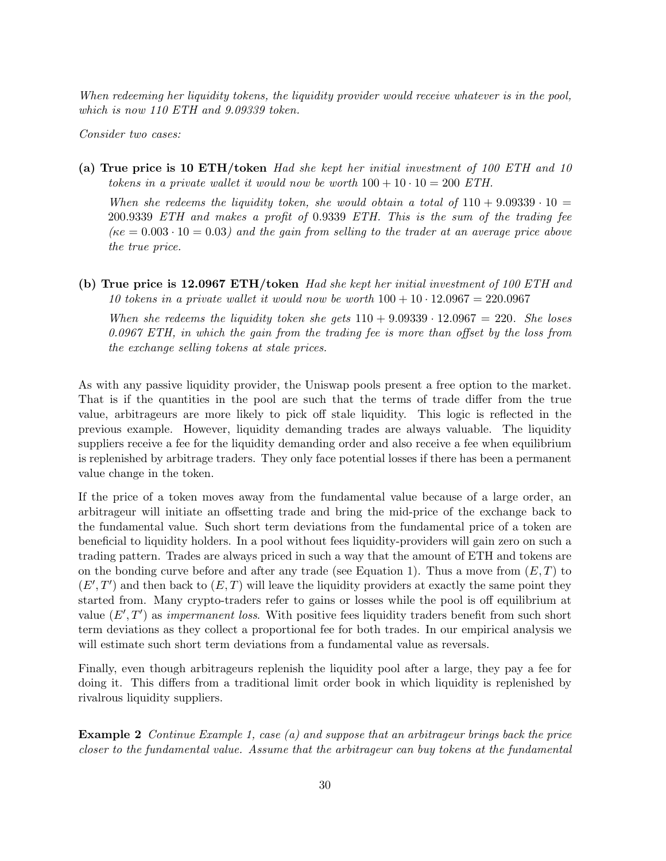When redeeming her liquidity tokens, the liquidity provider would receive whatever is in the pool, which is now 110 ETH and 9.09339 token.

Consider two cases:

(a) True price is 10 ETH/token Had she kept her initial investment of 100 ETH and 10 tokens in a private wallet it would now be worth  $100 + 10 \cdot 10 = 200$  ETH.

When she redeems the liquidity token, she would obtain a total of  $110 + 9.09339 \cdot 10 =$ 200.9339 ETH and makes a profit of 0.9339 ETH. This is the sum of the trading fee  $(\kappa e = 0.003 \cdot 10 = 0.03)$  and the gain from selling to the trader at an average price above the true price.

(b) True price is 12.0967 ETH/token Had she kept her initial investment of 100 ETH and 10 tokens in a private wallet it would now be worth  $100 + 10 \cdot 12.0967 = 220.0967$ 

When she redeems the liquidity token she gets  $110 + 9.09339 \cdot 12.0967 = 220$ . She loses 0.0967 ETH, in which the gain from the trading fee is more than offset by the loss from the exchange selling tokens at stale prices.

As with any passive liquidity provider, the Uniswap pools present a free option to the market. That is if the quantities in the pool are such that the terms of trade differ from the true value, arbitrageurs are more likely to pick off stale liquidity. This logic is reflected in the previous example. However, liquidity demanding trades are always valuable. The liquidity suppliers receive a fee for the liquidity demanding order and also receive a fee when equilibrium is replenished by arbitrage traders. They only face potential losses if there has been a permanent value change in the token.

If the price of a token moves away from the fundamental value because of a large order, an arbitrageur will initiate an offsetting trade and bring the mid-price of the exchange back to the fundamental value. Such short term deviations from the fundamental price of a token are beneficial to liquidity holders. In a pool without fees liquidity-providers will gain zero on such a trading pattern. Trades are always priced in such a way that the amount of ETH and tokens are on the bonding curve before and after any trade (see Equation 1). Thus a move from  $(E, T)$  to  $(E',T')$  and then back to  $(E,T)$  will leave the liquidity providers at exactly the same point they started from. Many crypto-traders refer to gains or losses while the pool is off equilibrium at value  $(E', T')$  as *impermanent loss*. With positive fees liquidity traders benefit from such short term deviations as they collect a proportional fee for both trades. In our empirical analysis we will estimate such short term deviations from a fundamental value as reversals.

Finally, even though arbitrageurs replenish the liquidity pool after a large, they pay a fee for doing it. This differs from a traditional limit order book in which liquidity is replenished by rivalrous liquidity suppliers.

Example 2 Continue Example 1, case (a) and suppose that an arbitrageur brings back the price closer to the fundamental value. Assume that the arbitrageur can buy tokens at the fundamental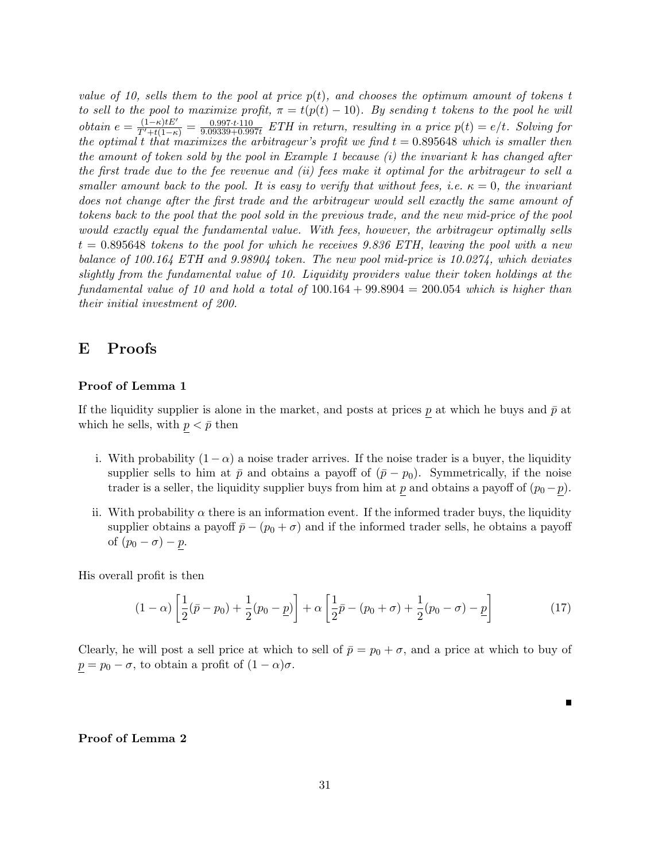value of 10, sells them to the pool at price  $p(t)$ , and chooses the optimum amount of tokens t to sell to the pool to maximize profit,  $\pi = t(p(t) - 10)$ . By sending t tokens to the pool he will obtain  $e = \frac{(1-\kappa)tE'}{T'+t(1-\kappa)} = \frac{0.997 \cdot t \cdot 110}{9.09339 + 0.99}$  $\frac{0.997 \cdot t \cdot 110}{9.09339 + 0.997t}$  ETH in return, resulting in a price  $p(t) = e/t$ . Solving for the optimal t that maximizes the arbitrageur's profit we find  $t = 0.895648$  which is smaller then the amount of token sold by the pool in Example 1 because  $(i)$  the invariant k has changed after the first trade due to the fee revenue and (ii) fees make it optimal for the arbitrageur to sell a smaller amount back to the pool. It is easy to verify that without fees, i.e.  $\kappa = 0$ , the invariant does not change after the first trade and the arbitrageur would sell exactly the same amount of tokens back to the pool that the pool sold in the previous trade, and the new mid-price of the pool would exactly equal the fundamental value. With fees, however, the arbitrageur optimally sells  $t = 0.895648$  tokens to the pool for which he receives 9.836 ETH, leaving the pool with a new balance of 100.164 ETH and 9.98904 token. The new pool mid-price is 10.0274, which deviates slightly from the fundamental value of 10. Liquidity providers value their token holdings at the fundamental value of 10 and hold a total of  $100.164 + 99.8904 = 200.054$  which is higher than their initial investment of 200.

### E Proofs

#### Proof of Lemma 1

If the liquidity supplier is alone in the market, and posts at prices p at which he buys and  $\bar{p}$  at which he sells, with  $p < \bar{p}$  then

- i. With probability  $(1 \alpha)$  a noise trader arrives. If the noise trader is a buyer, the liquidity supplier sells to him at  $\bar{p}$  and obtains a payoff of  $(\bar{p} - p_0)$ . Symmetrically, if the noise trader is a seller, the liquidity supplier buys from him at p and obtains a payoff of  $(p_0 - p)$ .
- ii. With probability  $\alpha$  there is an information event. If the informed trader buys, the liquidity supplier obtains a payoff  $\bar{p} - (p_0 + \sigma)$  and if the informed trader sells, he obtains a payoff of  $(p_0 - \sigma) - p$ .

His overall profit is then

$$
(1 - \alpha) \left[ \frac{1}{2} (\bar{p} - p_0) + \frac{1}{2} (p_0 - \underline{p}) \right] + \alpha \left[ \frac{1}{2} \bar{p} - (p_0 + \sigma) + \frac{1}{2} (p_0 - \sigma) - \underline{p} \right]
$$
(17)

П

Clearly, he will post a sell price at which to sell of  $\bar{p} = p_0 + \sigma$ , and a price at which to buy of  $p = p_0 - \sigma$ , to obtain a profit of  $(1 - \alpha)\sigma$ .

### Proof of Lemma 2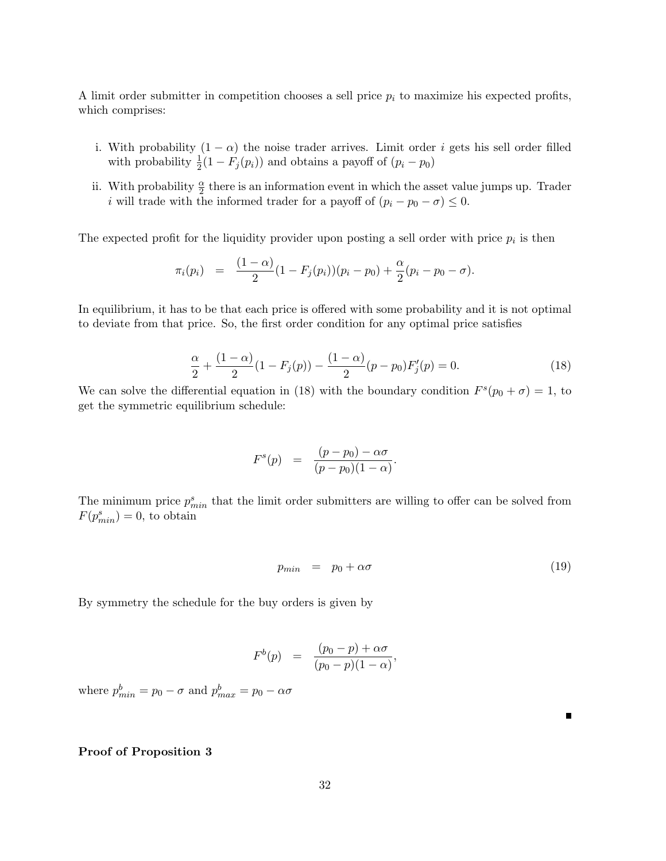A limit order submitter in competition chooses a sell price  $p_i$  to maximize his expected profits, which comprises:

- i. With probability  $(1 \alpha)$  the noise trader arrives. Limit order *i* gets his sell order filled with probability  $\frac{1}{2}(1 - F_j(p_i))$  and obtains a payoff of  $(p_i - p_0)$
- ii. With probability  $\frac{\alpha}{2}$  there is an information event in which the asset value jumps up. Trader i will trade with the informed trader for a payoff of  $(p_i - p_0 - \sigma) \leq 0$ .

The expected profit for the liquidity provider upon posting a sell order with price  $p_i$  is then

$$
\pi_i(p_i) = \frac{(1-\alpha)}{2}(1 - F_j(p_i))(p_i - p_0) + \frac{\alpha}{2}(p_i - p_0 - \sigma).
$$

In equilibrium, it has to be that each price is offered with some probability and it is not optimal to deviate from that price. So, the first order condition for any optimal price satisfies

$$
\frac{\alpha}{2} + \frac{(1-\alpha)}{2}(1 - F_j(p)) - \frac{(1-\alpha)}{2}(p - p_0)F'_j(p) = 0.
$$
 (18)

We can solve the differential equation in (18) with the boundary condition  $F^s(p_0 + \sigma) = 1$ , to get the symmetric equilibrium schedule:

$$
F^{s}(p) = \frac{(p-p_0) - \alpha \sigma}{(p-p_0)(1-\alpha)}.
$$

The minimum price  $p_{min}^s$  that the limit order submitters are willing to offer can be solved from  $F(p_{min}^s) = 0$ , to obtain

$$
p_{min} = p_0 + \alpha \sigma \tag{19}
$$

By symmetry the schedule for the buy orders is given by

$$
F^{b}(p) = \frac{(p_0 - p) + \alpha \sigma}{(p_0 - p)(1 - \alpha)},
$$

where  $p_{min}^b = p_0 - \sigma$  and  $p_{max}^b = p_0 - \alpha \sigma$ 

#### Proof of Proposition 3

Е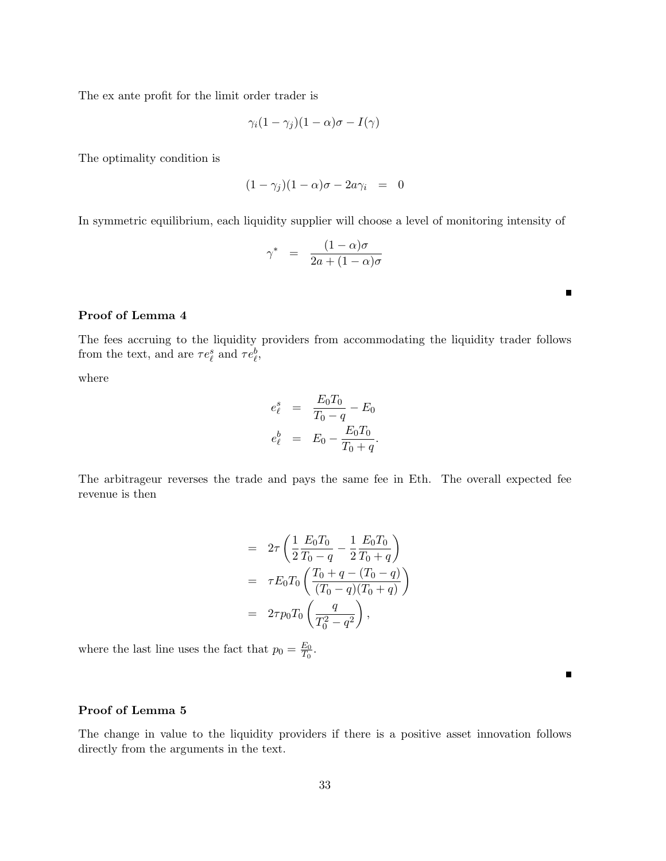The ex ante profit for the limit order trader is

$$
\gamma_i(1-\gamma_j)(1-\alpha)\sigma - I(\gamma)
$$

The optimality condition is

$$
(1 - \gamma_j)(1 - \alpha)\sigma - 2a\gamma_i = 0
$$

In symmetric equilibrium, each liquidity supplier will choose a level of monitoring intensity of

$$
\gamma^* = \frac{(1-\alpha)\sigma}{2a + (1-\alpha)\sigma}
$$

### Proof of Lemma 4

The fees accruing to the liquidity providers from accommodating the liquidity trader follows from the text, and are  $\tau e^s_\ell$  and  $\tau e^b_\ell$ ,

where

$$
e_{\ell}^{s} = \frac{E_{0}T_{0}}{T_{0} - q} - E_{0}
$$

$$
e_{\ell}^{b} = E_{0} - \frac{E_{0}T_{0}}{T_{0} + q}.
$$

The arbitrageur reverses the trade and pays the same fee in Eth. The overall expected fee revenue is then

$$
= 2\tau \left( \frac{1}{2} \frac{E_0 T_0}{T_0 - q} - \frac{1}{2} \frac{E_0 T_0}{T_0 + q} \right)
$$
  

$$
= \tau E_0 T_0 \left( \frac{T_0 + q - (T_0 - q)}{(T_0 - q)(T_0 + q)} \right)
$$
  

$$
= 2\tau p_0 T_0 \left( \frac{q}{T_0^2 - q^2} \right),
$$

where the last line uses the fact that  $p_0 = \frac{E_0}{T_0}$  $\frac{E_0}{T_0}$  .

#### Proof of Lemma 5

The change in value to the liquidity providers if there is a positive asset innovation follows directly from the arguments in the text.

П

П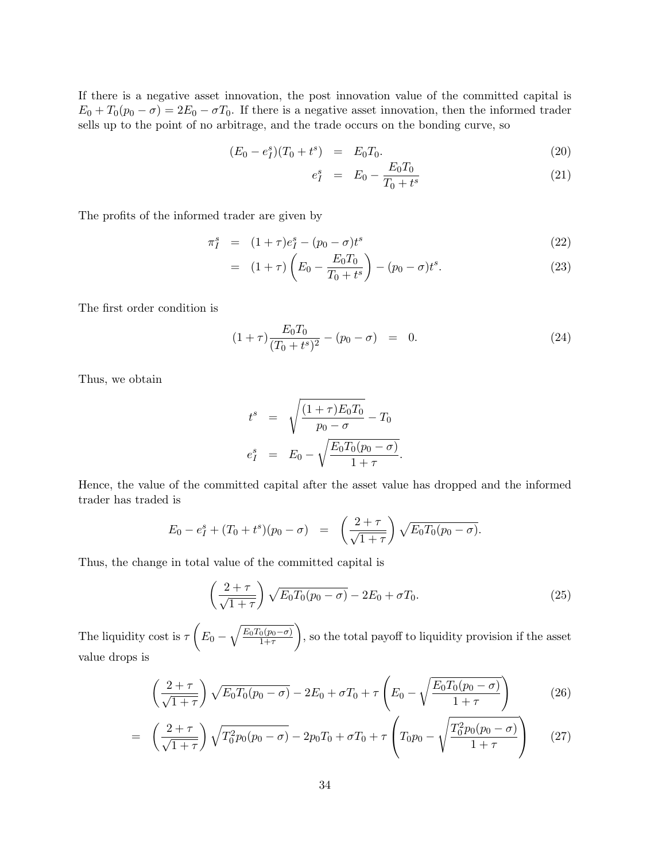If there is a negative asset innovation, the post innovation value of the committed capital is  $E_0 + T_0(p_0 - \sigma) = 2E_0 - \sigma T_0$ . If there is a negative asset innovation, then the informed trader sells up to the point of no arbitrage, and the trade occurs on the bonding curve, so

$$
(E_0 - e_I^s)(T_0 + t^s) = E_0 T_0.
$$
\n(20)

$$
e_I^s = E_0 - \frac{E_0 T_0}{T_0 + t^s} \tag{21}
$$

The profits of the informed trader are given by

$$
\pi_I^s = (1+\tau)e_I^s - (p_0 - \sigma)t^s \tag{22}
$$

$$
= (1+\tau)\left(E_0 - \frac{E_0 T_0}{T_0 + t^s}\right) - (p_0 - \sigma)t^s.
$$
\n(23)

The first order condition is

$$
(1+\tau)\frac{E_0 T_0}{(T_0+t^s)^2} - (p_0 - \sigma) = 0.
$$
\n(24)

Thus, we obtain

$$
t^{s} = \sqrt{\frac{(1+\tau)E_{0}T_{0}}{p_{0}-\sigma}} - T_{0}
$$
  

$$
e_{I}^{s} = E_{0} - \sqrt{\frac{E_{0}T_{0}(p_{0}-\sigma)}{1+\tau}}.
$$

Hence, the value of the committed capital after the asset value has dropped and the informed trader has traded is

$$
E_0 - e_I^s + (T_0 + t^s)(p_0 - \sigma) = \left(\frac{2+\tau}{\sqrt{1+\tau}}\right) \sqrt{E_0 T_0 (p_0 - \sigma)}.
$$

Thus, the change in total value of the committed capital is

$$
\left(\frac{2+\tau}{\sqrt{1+\tau}}\right)\sqrt{E_0T_0(p_0-\sigma)} - 2E_0 + \sigma T_0.
$$
\n(25)

The liquidity cost is  $\tau\left(E_0-\sqrt{\frac{E_0T_0(p_0-\sigma)}{1+\tau}}\right)$  $1+\tau$ ), so the total payoff to liquidity provision if the asset value drops is

$$
\left(\frac{2+\tau}{\sqrt{1+\tau}}\right)\sqrt{E_0T_0(p_0-\sigma)} - 2E_0 + \sigma T_0 + \tau\left(E_0 - \sqrt{\frac{E_0T_0(p_0-\sigma)}{1+\tau}}\right) \tag{26}
$$

$$
= \left(\frac{2+\tau}{\sqrt{1+\tau}}\right)\sqrt{T_0^2p_0(p_0-\sigma)} - 2p_0T_0 + \sigma T_0 + \tau\left(T_0p_0-\sqrt{\frac{T_0^2p_0(p_0-\sigma)}{1+\tau}}\right) \tag{27}
$$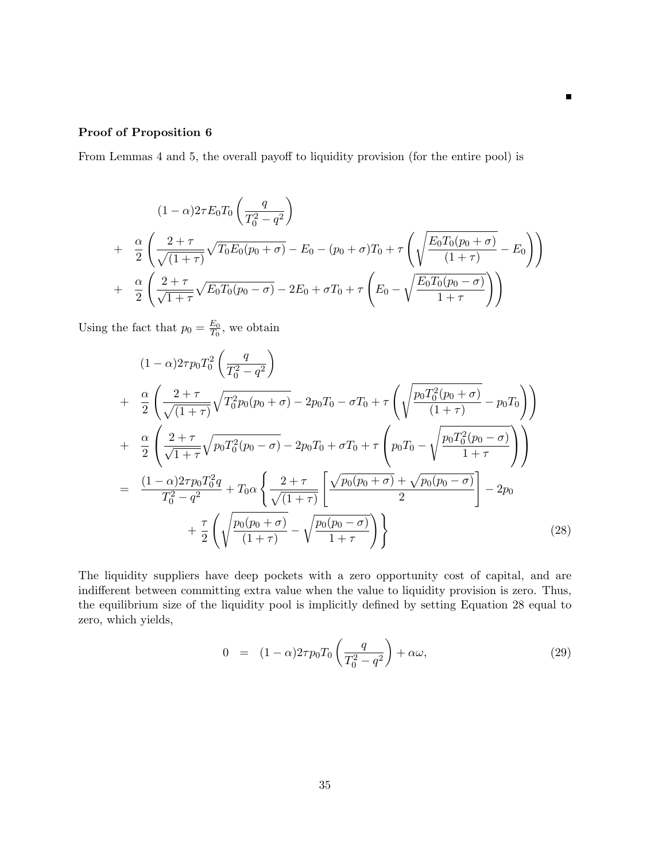### Proof of Proposition 6

From Lemmas 4 and 5, the overall payoff to liquidity provision (for the entire pool) is

$$
(1 - \alpha)2\tau E_0 T_0 \left(\frac{q}{T_0^2 - q^2}\right)
$$
  
+ 
$$
\frac{\alpha}{2} \left(\frac{2 + \tau}{\sqrt{(1 + \tau)}} \sqrt{T_0 E_0 (p_0 + \sigma)} - E_0 - (p_0 + \sigma) T_0 + \tau \left(\sqrt{\frac{E_0 T_0 (p_0 + \sigma)}{(1 + \tau)}} - E_0\right)\right)
$$
  
+ 
$$
\frac{\alpha}{2} \left(\frac{2 + \tau}{\sqrt{1 + \tau}} \sqrt{E_0 T_0 (p_0 - \sigma)} - 2E_0 + \sigma T_0 + \tau \left(E_0 - \sqrt{\frac{E_0 T_0 (p_0 - \sigma)}{1 + \tau}}\right)\right)
$$

 $\blacksquare$ 

Using the fact that  $p_0 = \frac{E_0}{T_0}$  $\frac{E_0}{T_0}$ , we obtain

$$
(1 - \alpha)2\tau p_0 T_0^2 \left(\frac{q}{T_0^2 - q^2}\right)
$$
  
+ 
$$
\frac{\alpha}{2} \left(\frac{2 + \tau}{\sqrt{(1 + \tau)}} \sqrt{T_0^2 p_0 (p_0 + \sigma)} - 2p_0 T_0 - \sigma T_0 + \tau \left(\sqrt{\frac{p_0 T_0^2 (p_0 + \sigma)}{(1 + \tau)}} - p_0 T_0\right)\right)
$$
  
+ 
$$
\frac{\alpha}{2} \left(\frac{2 + \tau}{\sqrt{1 + \tau}} \sqrt{p_0 T_0^2 (p_0 - \sigma)} - 2p_0 T_0 + \sigma T_0 + \tau \left(p_0 T_0 - \sqrt{\frac{p_0 T_0^2 (p_0 - \sigma)}{1 + \tau}}\right)\right)
$$
  
= 
$$
\frac{(1 - \alpha)2\tau p_0 T_0^2 q}{T_0^2 - q^2} + T_0 \alpha \left\{\frac{2 + \tau}{\sqrt{(1 + \tau)}} \left[\frac{\sqrt{p_0 (p_0 + \sigma)} + \sqrt{p_0 (p_0 - \sigma)}}{2}\right] - 2p_0
$$
  
+ 
$$
\frac{\tau}{2} \left(\sqrt{\frac{p_0 (p_0 + \sigma)}{(1 + \tau)}} - \sqrt{\frac{p_0 (p_0 - \sigma)}{1 + \tau}}\right)\right\}
$$
(28)

The liquidity suppliers have deep pockets with a zero opportunity cost of capital, and are indifferent between committing extra value when the value to liquidity provision is zero. Thus, the equilibrium size of the liquidity pool is implicitly defined by setting Equation 28 equal to zero, which yields,

$$
0 = (1 - \alpha)2\tau p_0 T_0 \left(\frac{q}{T_0^2 - q^2}\right) + \alpha \omega, \qquad (29)
$$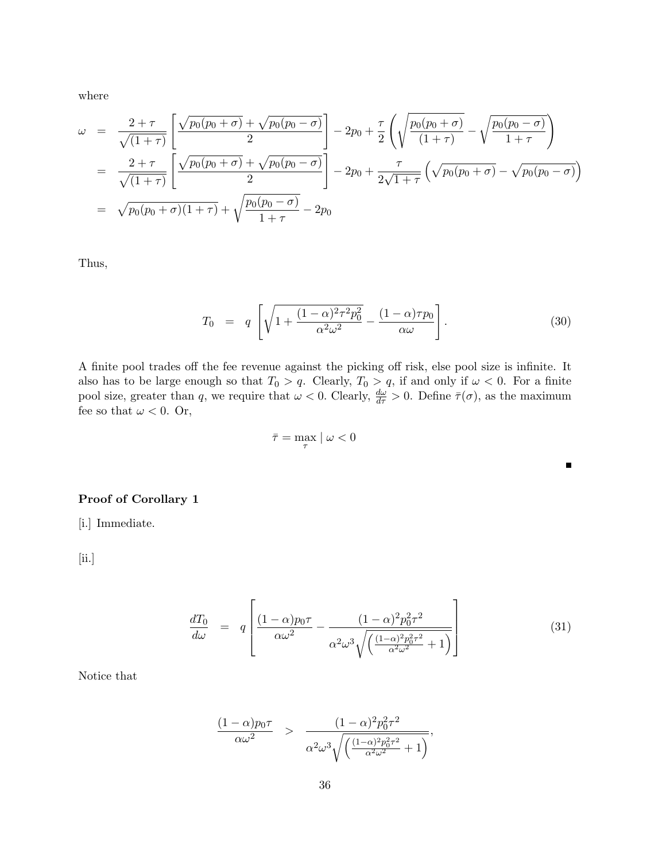where

$$
\omega = \frac{2+\tau}{\sqrt{(1+\tau)}} \left[ \frac{\sqrt{p_0(p_0+\sigma)} + \sqrt{p_0(p_0-\sigma)}}{2} \right] - 2p_0 + \frac{\tau}{2} \left( \sqrt{\frac{p_0(p_0+\sigma)}{(1+\tau)}} - \sqrt{\frac{p_0(p_0-\sigma)}{1+\tau}} \right)
$$
  
= 
$$
\frac{2+\tau}{\sqrt{(1+\tau)}} \left[ \frac{\sqrt{p_0(p_0+\sigma)} + \sqrt{p_0(p_0-\sigma)}}{2} \right] - 2p_0 + \frac{\tau}{2\sqrt{1+\tau}} \left( \sqrt{p_0(p_0+\sigma)} - \sqrt{p_0(p_0-\sigma)} \right)
$$
  
= 
$$
\sqrt{p_0(p_0+\sigma)(1+\tau)} + \sqrt{\frac{p_0(p_0-\sigma)}{1+\tau}} - 2p_0
$$

Thus,

$$
T_0 = q \left[ \sqrt{1 + \frac{(1 - \alpha)^2 \tau^2 p_0^2}{\alpha^2 \omega^2}} - \frac{(1 - \alpha)\tau p_0}{\alpha \omega} \right].
$$
 (30)

 $\blacksquare$ 

A finite pool trades off the fee revenue against the picking off risk, else pool size is infinite. It also has to be large enough so that  $T_0 > q$ . Clearly,  $T_0 > q$ , if and only if  $\omega < 0$ . For a finite pool size, greater than q, we require that  $\omega < 0$ . Clearly,  $\frac{d\omega}{d\tau} > 0$ . Define  $\bar{\tau}(\sigma)$ , as the maximum fee so that  $\omega < 0$ . Or,

$$
\bar{\tau} = \max_{\tau} | \omega < 0
$$

### Proof of Corollary 1

[i.] Immediate.

[ii.]

$$
\frac{dT_0}{d\omega} = q \left[ \frac{(1-\alpha)p_0\tau}{\alpha\omega^2} - \frac{(1-\alpha)^2p_0^2\tau^2}{\alpha^2\omega^3\sqrt{\left(\frac{(1-\alpha)^2p_0^2\tau^2}{\alpha^2\omega^2} + 1\right)}} \right]
$$
(31)

Notice that

$$
\frac{(1-\alpha)p_0\tau}{\alpha\omega^2} > \frac{(1-\alpha)^2p_0^2\tau^2}{\alpha^2\omega^3\sqrt{\left(\frac{(1-\alpha)^2p_0^2\tau^2}{\alpha^2\omega^2}+1\right)}},
$$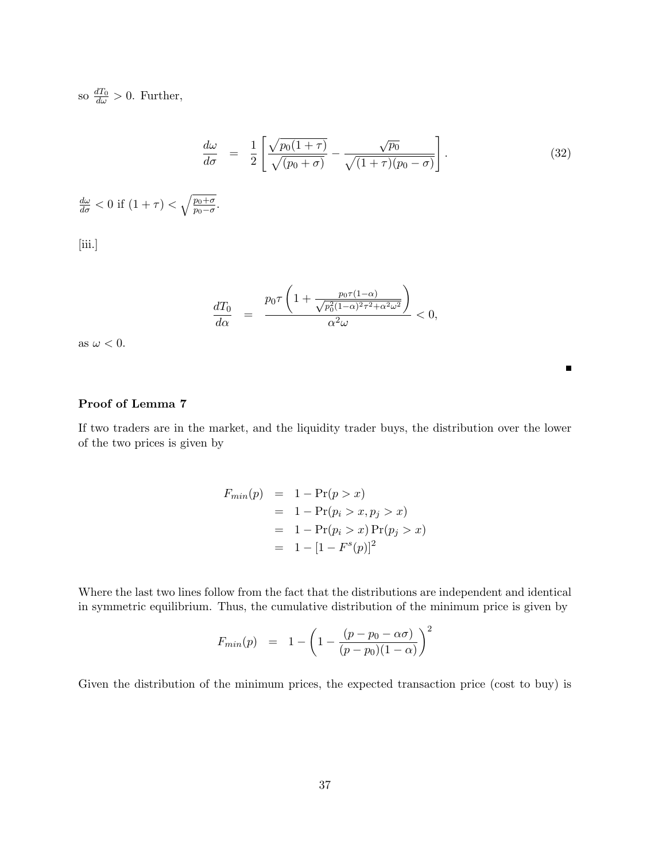so  $\frac{dT_0}{d\omega} > 0$ . Further,

$$
\frac{d\omega}{d\sigma} = \frac{1}{2} \left[ \frac{\sqrt{p_0(1+\tau)}}{\sqrt{(p_0+\sigma)}} - \frac{\sqrt{p_0}}{\sqrt{(1+\tau)(p_0-\sigma)}} \right].
$$
\n(32)

$$
\frac{d\omega}{d\sigma} < 0 \text{ if } (1 + \tau) < \sqrt{\frac{p_0 + \sigma}{p_0 - \sigma}}.
$$
\n[iii.]

$$
\frac{dT_0}{d\alpha} = \frac{p_0 \tau \left(1 + \frac{p_0 \tau (1 - \alpha)}{\sqrt{p_0^2 (1 - \alpha)^2 \tau^2 + \alpha^2 \omega^2}}\right)}{\alpha^2 \omega} < 0,
$$

as  $\omega < 0.$ 

### Proof of Lemma 7

If two traders are in the market, and the liquidity trader buys, the distribution over the lower of the two prices is given by

$$
F_{min}(p) = 1 - Pr(p > x)
$$
  
= 1 - Pr(p<sub>i</sub> > x, p<sub>j</sub> > x)  
= 1 - Pr(p<sub>i</sub> > x) Pr(p<sub>j</sub> > x)  
= 1 - [1 - F<sup>s</sup>(p)]<sup>2</sup>

Where the last two lines follow from the fact that the distributions are independent and identical in symmetric equilibrium. Thus, the cumulative distribution of the minimum price is given by

$$
F_{min}(p) = 1 - \left(1 - \frac{(p - p_0 - \alpha \sigma)}{(p - p_0)(1 - \alpha)}\right)^2
$$

Given the distribution of the minimum prices, the expected transaction price (cost to buy) is

 $\blacksquare$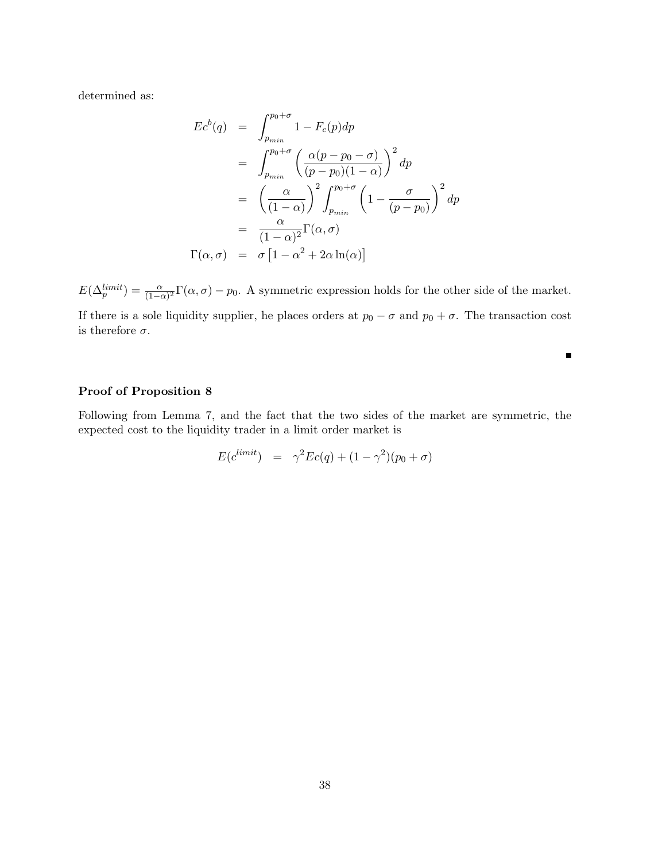determined as:

$$
Ec^{b}(q) = \int_{p_{min}}^{p_{0}+\sigma} 1 - F_{c}(p)dp
$$
  
= 
$$
\int_{p_{min}}^{p_{0}+\sigma} \left(\frac{\alpha(p-p_{0}-\sigma)}{(p-p_{0})(1-\alpha)}\right)^{2} dp
$$
  
= 
$$
\left(\frac{\alpha}{(1-\alpha)}\right)^{2} \int_{p_{min}}^{p_{0}+\sigma} \left(1 - \frac{\sigma}{(p-p_{0})}\right)^{2} dp
$$
  
= 
$$
\frac{\alpha}{(1-\alpha)^{2}} \Gamma(\alpha, \sigma)
$$
  

$$
\Gamma(\alpha, \sigma) = \sigma \left[1 - \alpha^{2} + 2\alpha \ln(\alpha)\right]
$$

 $E(\Delta_p^{limit}) = \frac{\alpha}{(1-\alpha)^2} \Gamma(\alpha, \sigma) - p_0$ . A symmetric expression holds for the other side of the market.

If there is a sole liquidity supplier, he places orders at  $p_0 - \sigma$  and  $p_0 + \sigma$ . The transaction cost is therefore  $\sigma$ .

 $\blacksquare$ 

### Proof of Proposition 8

Following from Lemma 7, and the fact that the two sides of the market are symmetric, the expected cost to the liquidity trader in a limit order market is

$$
E(c^{limit}) = \gamma^2 Ec(q) + (1 - \gamma^2)(p_0 + \sigma)
$$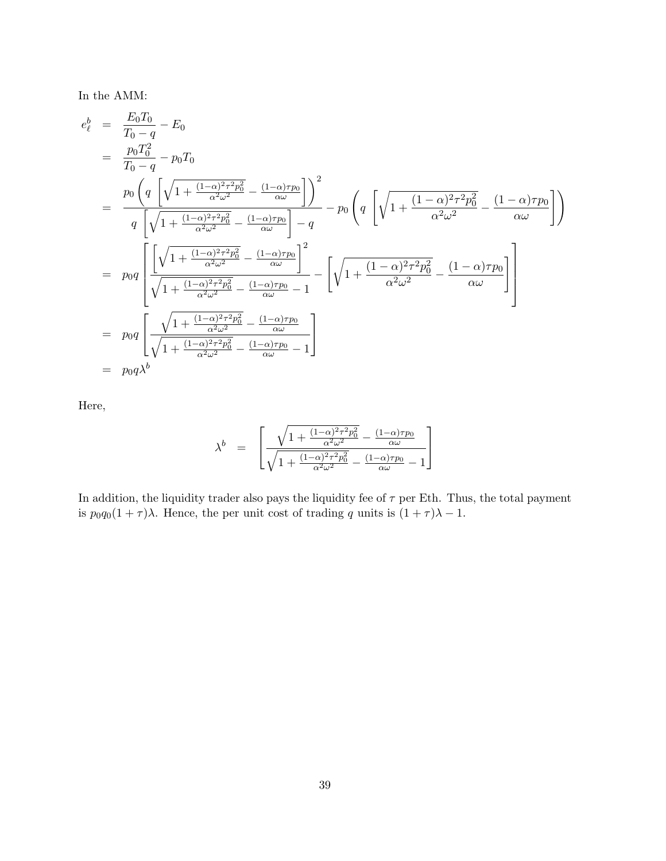In the AMM:

$$
e_{\ell}^{b} = \frac{E_{0}T_{0}}{T_{0}-q} - E_{0}
$$
\n
$$
= \frac{p_{0}T_{0}^{2}}{T_{0}-q} - p_{0}T_{0}
$$
\n
$$
= \frac{p_{0} \left(q \left[\sqrt{1 + \frac{(1-\alpha)^{2}\tau^{2}p_{0}^{2}}{\alpha^{2}\omega^{2}}} - \frac{(1-\alpha)\tau p_{0}}{\alpha\omega}\right]\right)^{2}}{q \left[\sqrt{1 + \frac{(1-\alpha)^{2}\tau^{2}p_{0}^{2}}{\alpha^{2}\omega^{2}}} - \frac{(1-\alpha)\tau p_{0}}{\alpha\omega}\right] - q} - p_{0} \left(q \left[\sqrt{1 + \frac{(1-\alpha)^{2}\tau^{2}p_{0}^{2}}{\alpha^{2}\omega^{2}}} - \frac{(1-\alpha)\tau p_{0}}{\alpha\omega}\right]\right)
$$
\n
$$
= p_{0}q \left[\frac{\left[\sqrt{1 + \frac{(1-\alpha)^{2}\tau^{2}p_{0}^{2}}{\alpha^{2}\omega^{2}}} - \frac{(1-\alpha)\tau p_{0}}{\alpha\omega}\right]^{2}}{\sqrt{1 + \frac{(1-\alpha)^{2}\tau^{2}p_{0}^{2}}{\alpha^{2}\omega^{2}}} - \frac{(1-\alpha)\tau p_{0}}{\alpha\omega} - 1} - \left[\sqrt{1 + \frac{(1-\alpha)^{2}\tau^{2}p_{0}^{2}}{\alpha^{2}\omega^{2}}} - \frac{(1-\alpha)\tau p_{0}}{\alpha\omega}\right]\right]
$$
\n
$$
= p_{0}q \left[\frac{\sqrt{1 + \frac{(1-\alpha)^{2}\tau^{2}p_{0}^{2}}{\alpha^{2}\omega^{2}}} - \frac{(1-\alpha)\tau p_{0}}{\alpha\omega}}{\alpha\omega} - 1}\right]
$$
\n
$$
= p_{0}q\lambda^{b}
$$

Here,

$$
\lambda^b \quad = \quad \left[ \frac{\sqrt{1+\frac{(1-\alpha)^2\tau^2p_0^2}{\alpha^2\omega^2}}-\frac{(1-\alpha)\tau p_0}{\alpha\omega}}{\sqrt{1+\frac{(1-\alpha)^2\tau^2p_0^2}{\alpha^2\omega^2}}-\frac{(1-\alpha)\tau p_0}{\alpha\omega}-1} \right]
$$

In addition, the liquidity trader also pays the liquidity fee of  $\tau$  per Eth. Thus, the total payment is  $p_0q_0(1+\tau)\lambda$ . Hence, the per unit cost of trading q units is  $(1+\tau)\lambda - 1$ .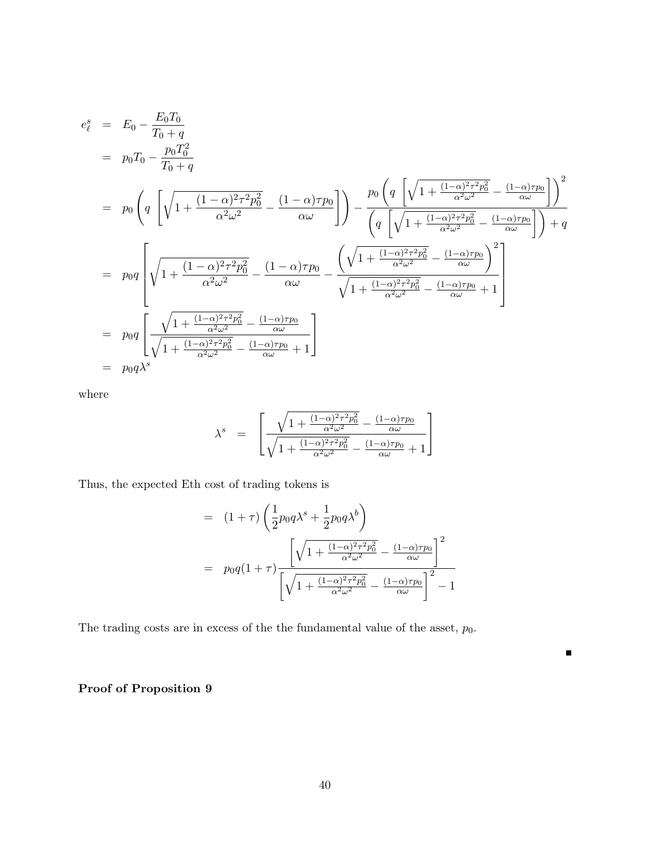$$
e_{\ell}^{s} = E_{0} - \frac{E_{0}T_{0}}{T_{0}+q}
$$
\n
$$
= p_{0}T_{0} - \frac{p_{0}T_{0}^{2}}{T_{0}+q}
$$
\n
$$
= p_{0} \left( q \left[ \sqrt{1 + \frac{(1-\alpha)^{2}\tau^{2}p_{0}^{2}}{\alpha^{2}\omega^{2}}} - \frac{(1-\alpha)\tau p_{0}}{\alpha\omega} \right] \right) - \frac{p_{0} \left( q \left[ \sqrt{1 + \frac{(1-\alpha)^{2}\tau^{2}p_{0}^{2}}{\alpha^{2}\omega^{2}}} - \frac{(1-\alpha)\tau p_{0}}{\alpha\omega} \right] \right)^{2}}{\left( q \left[ \sqrt{1 + \frac{(1-\alpha)^{2}\tau^{2}p_{0}^{2}}{\alpha^{2}\omega^{2}}} - \frac{(1-\alpha)\tau p_{0}}{\alpha\omega} \right] \right) + q}
$$
\n
$$
= p_{0}q \left[ \sqrt{1 + \frac{(1-\alpha)^{2}\tau^{2}p_{0}^{2}}{\alpha^{2}\omega^{2}}} - \frac{(1-\alpha)\tau p_{0}}{\alpha\omega} - \frac{\left( \sqrt{1 + \frac{(1-\alpha)^{2}\tau^{2}p_{0}^{2}}{\alpha^{2}\omega^{2}}} - \frac{(1-\alpha)\tau p_{0}}{\alpha\omega} \right)^{2}}{\sqrt{1 + \frac{(1-\alpha)^{2}\tau^{2}p_{0}^{2}}{\alpha^{2}\omega^{2}}} - \frac{(1-\alpha)\tau p_{0}}{\alpha\omega} + 1} \right]
$$
\n
$$
= p_{0}q \left[ \frac{\sqrt{1 + \frac{(1-\alpha)^{2}\tau^{2}p_{0}^{2}}{\alpha^{2}\omega^{2}}} - \frac{(1-\alpha)\tau p_{0}}{\alpha\omega}}{\alpha\omega} + 1} \right]
$$
\n
$$
= p_{0}q\lambda^{s}
$$

where

$$
\lambda^s \;\; = \;\; \left[ \frac{\sqrt{1+\frac{(1-\alpha)^2\tau^2p_0^2}{\alpha^2\omega^2}}-\frac{(1-\alpha)\tau p_0}{\alpha\omega}}{\sqrt{1+\frac{(1-\alpha)^2\tau^2p_0^2}{\alpha^2\omega^2}}-\frac{(1-\alpha)\tau p_0}{\alpha\omega}+1} \right]
$$

Thus, the expected Eth cost of trading tokens is

$$
= (1+\tau)\left(\frac{1}{2}p_0q\lambda^s + \frac{1}{2}p_0q\lambda^b\right)
$$
  

$$
= p_0q(1+\tau)\frac{\left[\sqrt{1 + \frac{(1-\alpha)^2\tau^2p_0^2}{\alpha^2\omega^2}} - \frac{(1-\alpha)\tau p_0}{\alpha\omega}\right]^2}{\left[\sqrt{1 + \frac{(1-\alpha)^2\tau^2p_0^2}{\alpha^2\omega^2}} - \frac{(1-\alpha)\tau p_0}{\alpha\omega}\right]^2 - 1}
$$

 $\blacksquare$ 

The trading costs are in excess of the the fundamental value of the asset,  $p_0$ .

Proof of Proposition 9